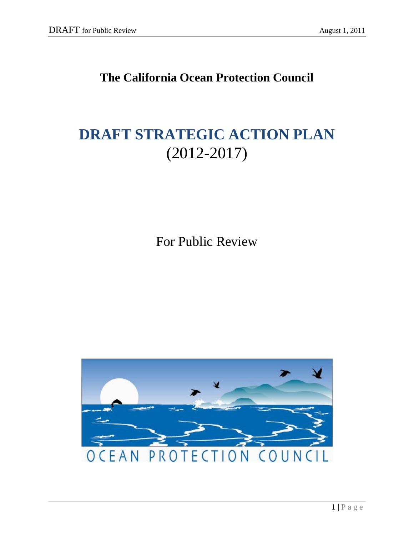## **The California Ocean Protection Council**

# **DRAFT STRATEGIC ACTION PLAN** (2012-2017)

For Public Review

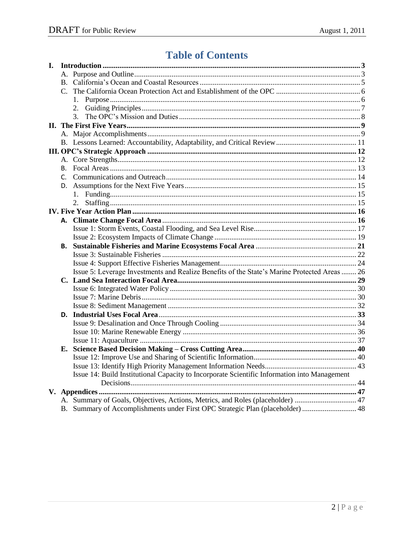## **Table of Contents**

|         | 1.                                                                                           |  |
|---------|----------------------------------------------------------------------------------------------|--|
|         |                                                                                              |  |
|         | 3.                                                                                           |  |
|         |                                                                                              |  |
|         |                                                                                              |  |
|         |                                                                                              |  |
|         |                                                                                              |  |
|         |                                                                                              |  |
|         |                                                                                              |  |
| $C_{1}$ |                                                                                              |  |
|         |                                                                                              |  |
|         | $1_{-}$                                                                                      |  |
|         | 2.                                                                                           |  |
|         |                                                                                              |  |
|         |                                                                                              |  |
|         |                                                                                              |  |
|         |                                                                                              |  |
|         |                                                                                              |  |
|         |                                                                                              |  |
|         |                                                                                              |  |
|         | Issue 5: Leverage Investments and Realize Benefits of the State's Marine Protected Areas  26 |  |
|         |                                                                                              |  |
|         |                                                                                              |  |
|         |                                                                                              |  |
|         |                                                                                              |  |
|         |                                                                                              |  |
|         |                                                                                              |  |
|         |                                                                                              |  |
|         |                                                                                              |  |
|         |                                                                                              |  |
|         |                                                                                              |  |
|         |                                                                                              |  |
|         | Issue 14: Build Institutional Capacity to Incorporate Scientific Information into Management |  |
|         |                                                                                              |  |
|         |                                                                                              |  |
|         | A. Summary of Goals, Objectives, Actions, Metrics, and Roles (placeholder)  47               |  |
|         | B. Summary of Accomplishments under First OPC Strategic Plan (placeholder)  48               |  |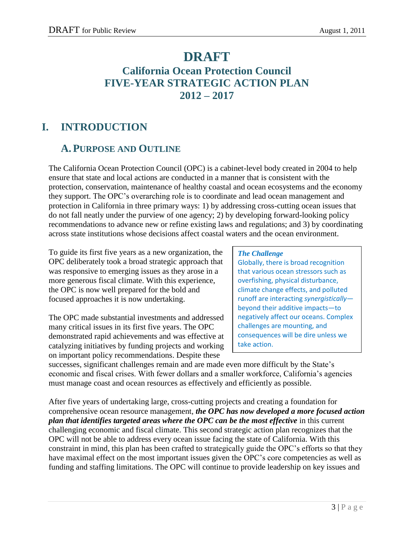## **DRAFT**

### **California Ocean Protection Council FIVE-YEAR STRATEGIC ACTION PLAN 2012 – 2017**

### **I. INTRODUCTION**

### **A. PURPOSE AND OUTLINE**

The California Ocean Protection Council (OPC) is a cabinet-level body created in 2004 to help ensure that state and local actions are conducted in a manner that is consistent with the protection, conservation, maintenance of healthy coastal and ocean ecosystems and the economy they support. The OPC's overarching role is to coordinate and lead ocean management and protection in California in three primary ways: 1) by addressing cross-cutting ocean issues that do not fall neatly under the purview of one agency; 2) by developing forward-looking policy recommendations to advance new or refine existing laws and regulations; and 3) by coordinating across state institutions whose decisions affect coastal waters and the ocean environment.

To guide its first five years as a new organization, the OPC deliberately took a broad strategic approach that was responsive to emerging issues as they arose in a more generous fiscal climate. With this experience, the OPC is now well prepared for the bold and focused approaches it is now undertaking.

The OPC made substantial investments and addressed many critical issues in its first five years. The OPC demonstrated rapid achievements and was effective at catalyzing initiatives by funding projects and working on important policy recommendations. Despite these

#### *The Challenge*

Globally, there is broad recognition that various ocean stressors such as overfishing, physical disturbance, climate change effects, and polluted runoff are interacting *synergistically* beyond their additive impacts—to negatively affect our oceans. Complex challenges are mounting, and consequences will be dire unless we take action.

successes, significant challenges remain and are made even more difficult by the State's economic and fiscal crises. With fewer dollars and a smaller workforce, California's agencies must manage coast and ocean resources as effectively and efficiently as possible.

After five years of undertaking large, cross-cutting projects and creating a foundation for comprehensive ocean resource management, *the OPC has now developed a more focused action plan that identifies targeted areas where the OPC can be the most effective* in this current challenging economic and fiscal climate. This second strategic action plan recognizes that the OPC will not be able to address every ocean issue facing the state of California. With this constraint in mind, this plan has been crafted to strategically guide the OPC's efforts so that they have maximal effect on the most important issues given the OPC's core competencies as well as funding and staffing limitations. The OPC will continue to provide leadership on key issues and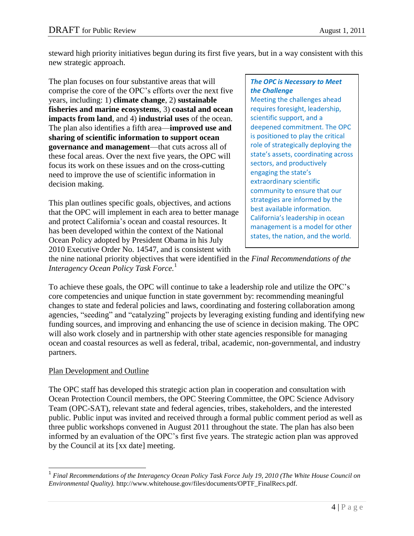steward high priority initiatives begun during its first five years, but in a way consistent with this new strategic approach.

The plan focuses on four substantive areas that will comprise the core of the OPC's efforts over the next five years, including: 1) **climate change**, 2) **sustainable fisheries and marine ecosystems**, 3) **coastal and ocean impacts from land**, and 4) **industrial uses** of the ocean. The plan also identifies a fifth area—**improved use and sharing of scientific information to support ocean governance and management**—that cuts across all of these focal areas. Over the next five years, the OPC will focus its work on these issues and on the cross-cutting need to improve the use of scientific information in decision making.

This plan outlines specific goals, objectives, and actions that the OPC will implement in each area to better manage and protect California's ocean and coastal resources. It has been developed within the context of the National Ocean Policy adopted by President Obama in his July 2010 Executive Order No. 14547, and is consistent with

#### *The OPC is Necessary to Meet the Challenge*

Meeting the challenges ahead requires foresight, leadership, scientific support, and a deepened commitment. The OPC is positioned to play the critical role of strategically deploying the state's assets, coordinating across sectors, and productively engaging the state's extraordinary scientific community to ensure that our strategies are informed by the best available information. California's leadership in ocean management is a model for other states, the nation, and the world.

the nine national priority objectives that were identified in the *Final Recommendations of the Interagency Ocean Policy Task Force.* 1

To achieve these goals, the OPC will continue to take a leadership role and utilize the OPC's core competencies and unique function in state government by: recommending meaningful changes to state and federal policies and laws, coordinating and fostering collaboration among agencies, "seeding" and "catalyzing" projects by leveraging existing funding and identifying new funding sources, and improving and enhancing the use of science in decision making. The OPC will also work closely and in partnership with other state agencies responsible for managing ocean and coastal resources as well as federal, tribal, academic, non-governmental, and industry partners.

#### Plan Development and Outline

The OPC staff has developed this strategic action plan in cooperation and consultation with Ocean Protection Council members, the OPC Steering Committee, the OPC Science Advisory Team (OPC-SAT), relevant state and federal agencies, tribes, stakeholders, and the interested public. Public input was invited and received through a formal public comment period as well as three public workshops convened in August 2011 throughout the state. The plan has also been informed by an evaluation of the OPC's first five years. The strategic action plan was approved by the Council at its [xx date] meeting.

 1 *Final Recommendations of the Interagency Ocean Policy Task Force July 19, 2010 (The White House Council on Environmental Quality).* http://www.whitehouse.gov/files/documents/OPTF\_FinalRecs.pdf.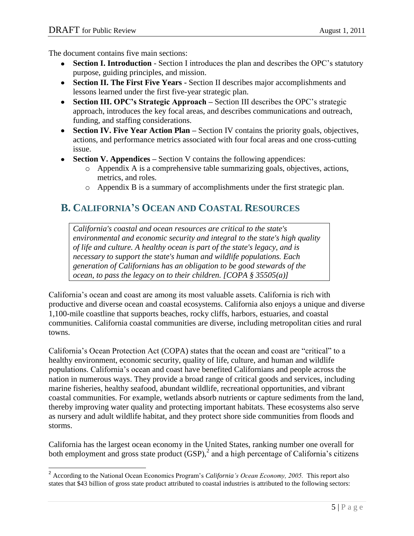$\overline{a}$ 

The document contains five main sections:

- **Section I. Introduction** Section I introduces the plan and describes the OPC's statutory purpose, guiding principles, and mission.
- **Section II. The First Five Years -** Section II describes major accomplishments and lessons learned under the first five-year strategic plan.
- **Section III. OPC's Strategic Approach** Section III describes the OPC's strategic approach, introduces the key focal areas, and describes communications and outreach, funding, and staffing considerations.
- **Section IV. Five Year Action Plan** Section IV contains the priority goals, objectives, actions, and performance metrics associated with four focal areas and one cross-cutting issue.
- **Section V. Appendices** Section V contains the following appendices:
	- $\circ$  Appendix A is a comprehensive table summarizing goals, objectives, actions, metrics, and roles.
	- o Appendix B is a summary of accomplishments under the first strategic plan.

### **B. CALIFORNIA'S OCEAN AND COASTAL RESOURCES**

*California's coastal and ocean resources are critical to the state's environmental and economic security and integral to the state's high quality of life and culture. A healthy ocean is part of the state's legacy, and is necessary to support the state's human and wildlife populations. Each generation of Californians has an obligation to be good stewards of the ocean, to pass the legacy on to their children. [COPA § 35505(a)]*

California's ocean and coast are among its most valuable assets. California is rich with productive and diverse ocean and coastal ecosystems. California also enjoys a unique and diverse 1,100-mile coastline that supports beaches, rocky cliffs, harbors, estuaries, and coastal communities. California coastal communities are diverse, including metropolitan cities and rural towns.

California's Ocean Protection Act (COPA) states that the ocean and coast are "critical" to a healthy environment, economic security, quality of life, culture, and human and wildlife populations. California's ocean and coast have benefited Californians and people across the nation in numerous ways. They provide a broad range of critical goods and services, including marine fisheries, healthy seafood, abundant wildlife, recreational opportunities, and vibrant coastal communities. For example, wetlands absorb nutrients or capture sediments from the land, thereby improving water quality and protecting important habitats. These ecosystems also serve as nursery and adult wildlife habitat, and they protect shore side communities from floods and storms.

California has the largest ocean economy in the United States, ranking number one overall for both employment and gross state product  $(GSP)$ ,<sup>2</sup> and a high percentage of California's citizens

<sup>2</sup> According to the National Ocean Economics Program's *California"s Ocean Economy, 2005.* This report also states that \$43 billion of gross state product attributed to coastal industries is attributed to the following sectors: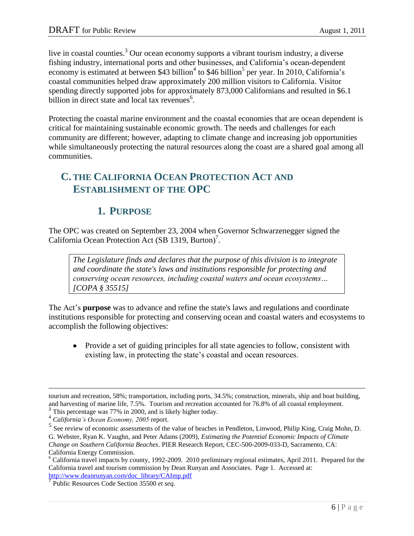live in coastal counties.<sup>3</sup> Our ocean economy supports a vibrant tourism industry, a diverse fishing industry, international ports and other businesses, and California's ocean-dependent economy is estimated at between \$43 billion<sup>4</sup> to \$46 billion<sup>5</sup> per year. In 2010, California's coastal communities helped draw approximately 200 million visitors to California. Visitor spending directly supported jobs for approximately 873,000 Californians and resulted in \$6.1 billion in direct state and local tax revenues<sup>6</sup>.

Protecting the coastal marine environment and the coastal economies that are ocean dependent is critical for maintaining sustainable economic growth. The needs and challenges for each community are different; however, adapting to climate change and increasing job opportunities while simultaneously protecting the natural resources along the coast are a shared goal among all communities.

### **C. THE CALIFORNIA OCEAN PROTECTION ACT AND ESTABLISHMENT OF THE OPC**

### **1. PURPOSE**

The OPC was created on September 23, 2004 when Governor Schwarzenegger signed the California Ocean Protection Act (SB 1319, Burton)<sup>7</sup>.

*The Legislature finds and declares that the purpose of this division is to integrate and coordinate the state's laws and institutions responsible for protecting and conserving ocean resources, including coastal waters and ocean ecosystems… [COPA § 35515]*

The Act's **purpose** was to advance and refine the state's laws and regulations and coordinate institutions responsible for protecting and conserving ocean and coastal waters and ecosystems to accomplish the following objectives:

• Provide a set of guiding principles for all state agencies to follow, consistent with existing law, in protecting the state's coastal and ocean resources.

 $\overline{a}$ 

tourism and recreation, 58%; transportation, including ports, 34.5%; construction, minerals, ship and boat building, and harvesting of marine life, 7.5%. Tourism and recreation accounted for 76.8% of all coastal employment. <sup>3</sup> This percentage was 77% in 2000, and is likely higher today.

<sup>4</sup> *California"s Ocean Economy, 2005* report.

<sup>&</sup>lt;sup>5</sup> See review of economic assessments of the value of beaches in Pendleton, Linwood, Philip King, Craig Mohn, D. G. Webster, Ryan K. Vaughn, and Peter Adams (2009), *Estimating the Potential Economic Impacts of Climate Change on Southern California Beaches*. PIER Research Report, CEC-500-2009-033-D, Sacramento, CA: California Energy Commission.

<sup>6</sup> California travel impacts by county, 1992-2009. 2010 preliminary regional estimates, April 2011. Prepared for the California travel and tourism commission by Dean Runyan and Associates. Page 1. Accessed at: [http://www.deanrunyan.com/doc\\_library/CAImp.pdf](http://www.deanrunyan.com/doc_library/CAImp.pdf)

<sup>7</sup> Public Resources Code Section 35500 *et seq.*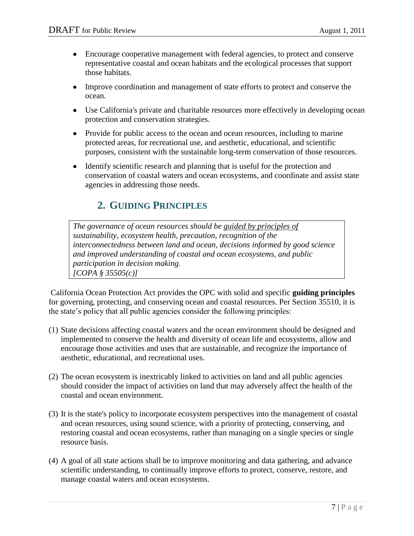- Encourage cooperative management with federal agencies, to protect and conserve representative coastal and ocean habitats and the ecological processes that support those habitats.
- Improve coordination and management of state efforts to protect and conserve the ocean.
- Use California's private and charitable resources more effectively in developing ocean protection and conservation strategies.
- Provide for public access to the ocean and ocean resources, including to marine protected areas, for recreational use, and aesthetic, educational, and scientific purposes, consistent with the sustainable long-term conservation of those resources.
- Identify scientific research and planning that is useful for the protection and conservation of coastal waters and ocean ecosystems, and coordinate and assist state agencies in addressing those needs.

### **2. GUIDING PRINCIPLES**

*The governance of ocean resources should be guided by principles of sustainability, ecosystem health, precaution, recognition of the interconnectedness between land and ocean, decisions informed by good science and improved understanding of coastal and ocean ecosystems, and public participation in decision making. [COPA § 35505(c)]*

California Ocean Protection Act provides the OPC with solid and specific **guiding principles** for governing, protecting, and conserving ocean and coastal resources. Per Section 35510, it is the state's policy that all public agencies consider the following principles:

- (1) State decisions affecting coastal waters and the ocean environment should be designed and implemented to conserve the health and diversity of ocean life and ecosystems, allow and encourage those activities and uses that are sustainable, and recognize the importance of aesthetic, educational, and recreational uses.
- (2) The ocean ecosystem is inextricably linked to activities on land and all public agencies should consider the impact of activities on land that may adversely affect the health of the coastal and ocean environment.
- (3) It is the state's policy to incorporate ecosystem perspectives into the management of coastal and ocean resources, using sound science, with a priority of protecting, conserving, and restoring coastal and ocean ecosystems, rather than managing on a single species or single resource basis.
- (4) A goal of all state actions shall be to improve monitoring and data gathering, and advance scientific understanding, to continually improve efforts to protect, conserve, restore, and manage coastal waters and ocean ecosystems.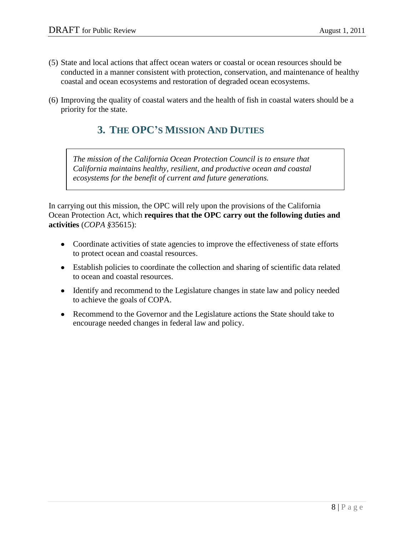- (5) State and local actions that affect ocean waters or coastal or ocean resources should be conducted in a manner consistent with protection, conservation, and maintenance of healthy coastal and ocean ecosystems and restoration of degraded ocean ecosystems.
- (6) Improving the quality of coastal waters and the health of fish in coastal waters should be a priority for the state.

### **3. THE OPC'S MISSION AND DUTIES**

*The mission of the California Ocean Protection Council is to ensure that California maintains healthy, resilient, and productive ocean and coastal ecosystems for the benefit of current and future generations.*

In carrying out this mission, the OPC will rely upon the provisions of the California Ocean Protection Act, which **requires that the OPC carry out the following duties and activities** (*COPA §*35615):

- Coordinate activities of state agencies to improve the effectiveness of state efforts to protect ocean and coastal resources.
- Establish policies to coordinate the collection and sharing of scientific data related to ocean and coastal resources.
- Identify and recommend to the Legislature changes in state law and policy needed to achieve the goals of COPA.
- Recommend to the Governor and the Legislature actions the State should take to encourage needed changes in federal law and policy.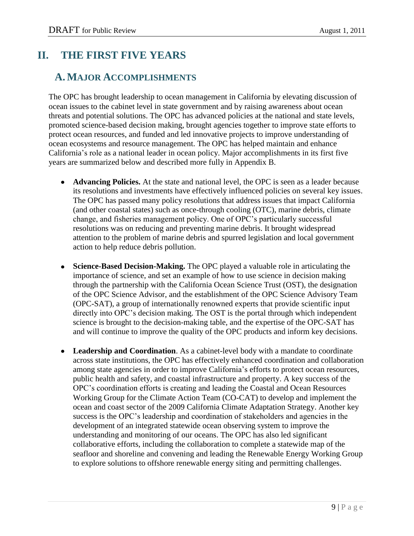### **II. THE FIRST FIVE YEARS**

### **A.MAJOR ACCOMPLISHMENTS**

The OPC has brought leadership to ocean management in California by elevating discussion of ocean issues to the cabinet level in state government and by raising awareness about ocean threats and potential solutions. The OPC has advanced policies at the national and state levels, promoted science-based decision making, brought agencies together to improve state efforts to protect ocean resources, and funded and led innovative projects to improve understanding of ocean ecosystems and resource management. The OPC has helped maintain and enhance California's role as a national leader in ocean policy. Major accomplishments in its first five years are summarized below and described more fully in Appendix B.

- **Advancing Policies.** At the state and national level, the OPC is seen as a leader because its resolutions and investments have effectively influenced policies on several key issues. The OPC has passed many policy resolutions that address issues that impact California (and other coastal states) such as once-through cooling (OTC), marine debris, climate change, and fisheries management policy. One of OPC's particularly successful resolutions was on reducing and preventing marine debris. It brought widespread attention to the problem of marine debris and spurred legislation and local government action to help reduce debris pollution.
- **Science-Based Decision-Making.** The OPC played a valuable role in articulating the importance of science, and set an example of how to use science in decision making through the partnership with the California Ocean Science Trust (OST), the designation of the OPC Science Advisor, and the establishment of the OPC Science Advisory Team (OPC-SAT), a group of internationally renowned experts that provide scientific input directly into OPC's decision making. The OST is the portal through which independent science is brought to the decision-making table, and the expertise of the OPC-SAT has and will continue to improve the quality of the OPC products and inform key decisions.
- **Leadership and Coordination**. As a cabinet-level body with a mandate to coordinate  $\bullet$ across state institutions, the OPC has effectively enhanced coordination and collaboration among state agencies in order to improve California's efforts to protect ocean resources, public health and safety, and coastal infrastructure and property. A key success of the OPC's coordination efforts is creating and leading the Coastal and Ocean Resources Working Group for the Climate Action Team (CO-CAT) to develop and implement the ocean and coast sector of the 2009 California Climate Adaptation Strategy. Another key success is the OPC's leadership and coordination of stakeholders and agencies in the development of an integrated statewide ocean observing system to improve the understanding and monitoring of our oceans. The OPC has also led significant collaborative efforts, including the collaboration to complete a statewide map of the seafloor and shoreline and convening and leading the Renewable Energy Working Group to explore solutions to offshore renewable energy siting and permitting challenges.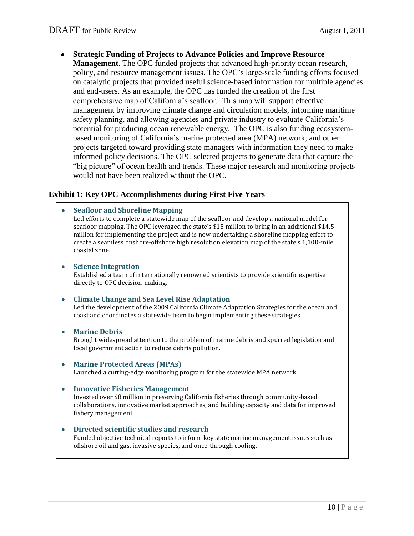**Strategic Funding of Projects to Advance Policies and Improve Resource Management**. The OPC funded projects that advanced high-priority ocean research, policy, and resource management issues. The OPC's large-scale funding efforts focused on catalytic projects that provided useful science-based information for multiple agencies and end-users. As an example, the OPC has funded the creation of the first comprehensive map of California's seafloor. This map will support effective management by improving climate change and circulation models, informing maritime safety planning, and allowing agencies and private industry to evaluate California's potential for producing ocean renewable energy. The OPC is also funding ecosystembased monitoring of California's marine protected area (MPA) network, and other projects targeted toward providing state managers with information they need to make informed policy decisions. The OPC selected projects to generate data that capture the "big picture" of ocean health and trends. These major research and monitoring projects would not have been realized without the OPC.

#### **Exhibit 1: Key OPC Accomplishments during First Five Years**

**Seafloor and Shoreline Mapping**

Led efforts to complete a statewide map of the seafloor and develop a national model for seafloor mapping. The OPC leveraged the state's \$15 million to bring in an additional \$14.5 million for implementing the project and is now undertaking a shoreline mapping effort to create a seamless onshore-offshore high resolution elevation map of the state's 1,100-mile coastal zone.

**Science Integration**

Established a team of internationally renowned scientists to provide scientific expertise directly to OPC decision-making.

#### **Climate Change and Sea Level Rise Adaptation**  $\bullet$

Led the development of the 2009 California Climate Adaptation Strategies for the ocean and coast and coordinates a statewide team to begin implementing these strategies.

#### **Marine Debris**

Brought widespread attention to the problem of marine debris and spurred legislation and local government action to reduce debris pollution.

**Marine Protected Areas (MPAs)** Launched a cutting-edge monitoring program for the statewide MPA network.

#### **Innovative Fisheries Management**

Invested over \$8 million in preserving California fisheries through community-based collaborations, innovative market approaches, and building capacity and data for improved fishery management.

#### **Directed scientific studies and research**  $\bullet$

Funded objective technical reports to inform key state marine management issues such as offshore oil and gas, invasive species, and once-through cooling.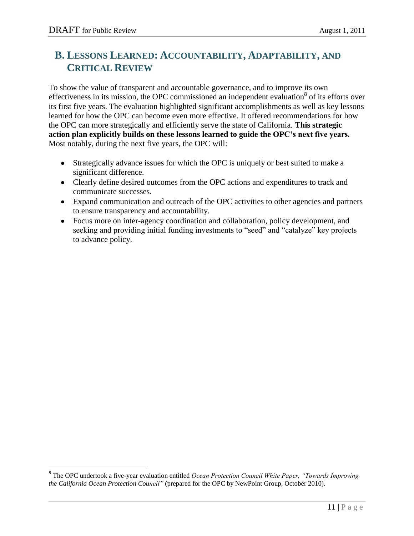### **B. LESSONS LEARNED: ACCOUNTABILITY, ADAPTABILITY, AND CRITICAL REVIEW**

To show the value of transparent and accountable governance, and to improve its own effectiveness in its mission, the OPC commissioned an independent evaluation<sup>8</sup> of its efforts over its first five years. The evaluation highlighted significant accomplishments as well as key lessons learned for how the OPC can become even more effective. It offered recommendations for how the OPC can more strategically and efficiently serve the state of California. **This strategic action plan explicitly builds on these lessons learned to guide the OPC's next five years***.* Most notably, during the next five years, the OPC will:

- Strategically advance issues for which the OPC is uniquely or best suited to make a significant difference.
- Clearly define desired outcomes from the OPC actions and expenditures to track and communicate successes.
- Expand communication and outreach of the OPC activities to other agencies and partners to ensure transparency and accountability.
- Focus more on inter-agency coordination and collaboration, policy development, and seeking and providing initial funding investments to "seed" and "catalyze" key projects to advance policy.

 8 The OPC undertook a five-year evaluation entitled *Ocean Protection Council White Paper, "Towards Improving the California Ocean Protection Council"* (prepared for the OPC by NewPoint Group, October 2010).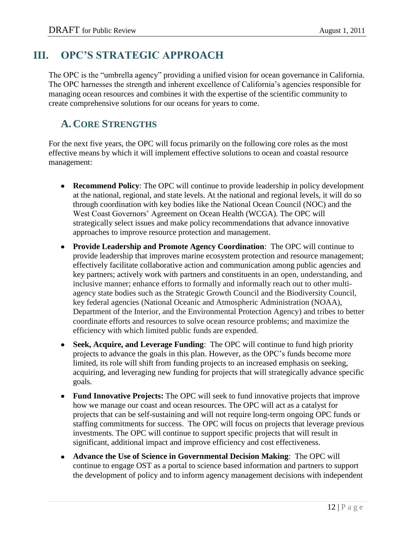### **III. OPC'S STRATEGIC APPROACH**

The OPC is the "umbrella agency" providing a unified vision for ocean governance in California. The OPC harnesses the strength and inherent excellence of California's agencies responsible for managing ocean resources and combines it with the expertise of the scientific community to create comprehensive solutions for our oceans for years to come.

### **A. CORE STRENGTHS**

For the next five years, the OPC will focus primarily on the following core roles as the most effective means by which it will implement effective solutions to ocean and coastal resource management:

- **Recommend Policy**: The OPC will continue to provide leadership in policy development at the national, regional, and state levels. At the national and regional levels, it will do so through coordination with key bodies like the National Ocean Council (NOC) and the West Coast Governors' Agreement on Ocean Health (WCGA). The OPC will strategically select issues and make policy recommendations that advance innovative approaches to improve resource protection and management.
- **Provide Leadership and Promote Agency Coordination**: The OPC will continue to provide leadership that improves marine ecosystem protection and resource management; effectively facilitate collaborative action and communication among public agencies and key partners; actively work with partners and constituents in an open, understanding, and inclusive manner; enhance efforts to formally and informally reach out to other multiagency state bodies such as the Strategic Growth Council and the Biodiversity Council, key federal agencies (National Oceanic and Atmospheric Administration (NOAA), Department of the Interior, and the Environmental Protection Agency) and tribes to better coordinate efforts and resources to solve ocean resource problems; and maximize the efficiency with which limited public funds are expended.
- **Seek, Acquire, and Leverage Funding**: The OPC will continue to fund high priority projects to advance the goals in this plan. However, as the OPC's funds become more limited, its role will shift from funding projects to an increased emphasis on seeking, acquiring, and leveraging new funding for projects that will strategically advance specific goals.
- **Fund Innovative Projects:** The OPC will seek to fund innovative projects that improve how we manage our coast and ocean resources. The OPC will act as a catalyst for projects that can be self-sustaining and will not require long-term ongoing OPC funds or staffing commitments for success. The OPC will focus on projects that leverage previous investments. The OPC will continue to support specific projects that will result in significant, additional impact and improve efficiency and cost effectiveness.
- **Advance the Use of Science in Governmental Decision Making**: The OPC will continue to engage OST as a portal to science based information and partners to support the development of policy and to inform agency management decisions with independent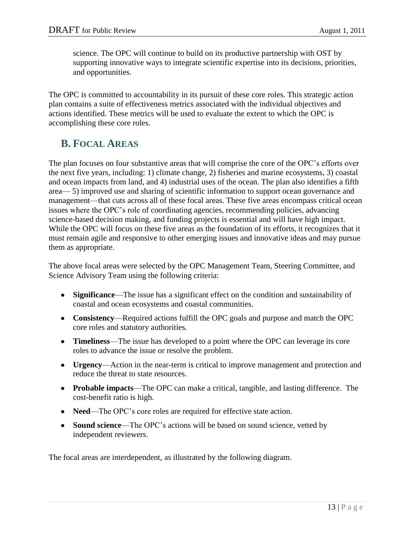science. The OPC will continue to build on its productive partnership with OST by supporting innovative ways to integrate scientific expertise into its decisions, priorities, and opportunities.

The OPC is committed to accountability in its pursuit of these core roles. This strategic action plan contains a suite of effectiveness metrics associated with the individual objectives and actions identified. These metrics will be used to evaluate the extent to which the OPC is accomplishing these core roles.

### **B. FOCAL AREAS**

The plan focuses on four substantive areas that will comprise the core of the OPC's efforts over the next five years, including: 1) climate change, 2) fisheries and marine ecosystems, 3) coastal and ocean impacts from land, and 4) industrial uses of the ocean. The plan also identifies a fifth area— 5) improved use and sharing of scientific information to support ocean governance and management—that cuts across all of these focal areas. These five areas encompass critical ocean issues where the OPC's role of coordinating agencies, recommending policies, advancing science-based decision making, and funding projects is essential and will have high impact. While the OPC will focus on these five areas as the foundation of its efforts, it recognizes that it must remain agile and responsive to other emerging issues and innovative ideas and may pursue them as appropriate.

The above focal areas were selected by the OPC Management Team, Steering Committee, and Science Advisory Team using the following criteria:

- **Significance**—The issue has a significant effect on the condition and sustainability of coastal and ocean ecosystems and coastal communities.
- **Consistency**—Required actions fulfill the OPC goals and purpose and match the OPC core roles and statutory authorities.
- **Timeliness**—The issue has developed to a point where the OPC can leverage its core roles to advance the issue or resolve the problem.
- **Urgency**—Action in the near-term is critical to improve management and protection and reduce the threat to state resources.
- **Probable impacts**—The OPC can make a critical, tangible, and lasting difference. The cost-benefit ratio is high.
- **Need—The OPC's core roles are required for effective state action.**
- **Sound science**—The OPC's actions will be based on sound science, vetted by independent reviewers.

The focal areas are interdependent, as illustrated by the following diagram.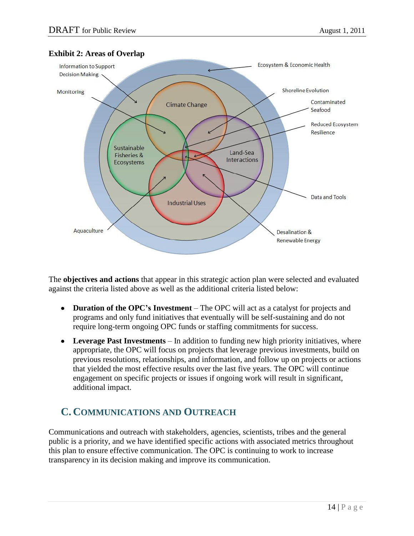

The **objectives and actions** that appear in this strategic action plan were selected and evaluated against the criteria listed above as well as the additional criteria listed below:

- **Duration of the OPC's Investment** The OPC will act as a catalyst for projects and programs and only fund initiatives that eventually will be self-sustaining and do not require long-term ongoing OPC funds or staffing commitments for success.
- **Leverage Past Investments**  In addition to funding new high priority initiatives, where appropriate, the OPC will focus on projects that leverage previous investments, build on previous resolutions, relationships, and information, and follow up on projects or actions that yielded the most effective results over the last five years. The OPC will continue engagement on specific projects or issues if ongoing work will result in significant, additional impact.

### **C. COMMUNICATIONS AND OUTREACH**

Communications and outreach with stakeholders, agencies, scientists, tribes and the general public is a priority, and we have identified specific actions with associated metrics throughout this plan to ensure effective communication. The OPC is continuing to work to increase transparency in its decision making and improve its communication.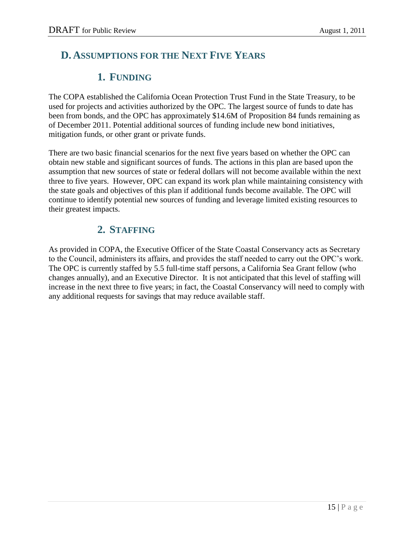### **D. ASSUMPTIONS FOR THE NEXT FIVE YEARS**

### **1. FUNDING**

The COPA established the California Ocean Protection Trust Fund in the State Treasury, to be used for projects and activities authorized by the OPC. The largest source of funds to date has been from bonds, and the OPC has approximately \$14.6M of Proposition 84 funds remaining as of December 2011. Potential additional sources of funding include new bond initiatives, mitigation funds, or other grant or private funds.

There are two basic financial scenarios for the next five years based on whether the OPC can obtain new stable and significant sources of funds. The actions in this plan are based upon the assumption that new sources of state or federal dollars will not become available within the next three to five years. However, OPC can expand its work plan while maintaining consistency with the state goals and objectives of this plan if additional funds become available. The OPC will continue to identify potential new sources of funding and leverage limited existing resources to their greatest impacts.

### **2. STAFFING**

As provided in COPA, the Executive Officer of the State Coastal Conservancy acts as Secretary to the Council, administers its affairs, and provides the staff needed to carry out the OPC's work. The OPC is currently staffed by 5.5 full-time staff persons, a California Sea Grant fellow (who changes annually), and an Executive Director. It is not anticipated that this level of staffing will increase in the next three to five years; in fact, the Coastal Conservancy will need to comply with any additional requests for savings that may reduce available staff.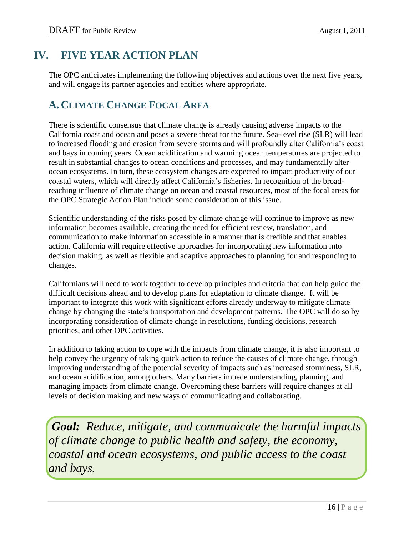### **IV. FIVE YEAR ACTION PLAN**

The OPC anticipates implementing the following objectives and actions over the next five years, and will engage its partner agencies and entities where appropriate.

### **A. CLIMATE CHANGE FOCAL AREA**

There is scientific consensus that climate change is already causing adverse impacts to the California coast and ocean and poses a severe threat for the future. Sea-level rise (SLR) will lead to increased flooding and erosion from severe storms and will profoundly alter California's coast and bays in coming years. Ocean acidification and warming ocean temperatures are projected to result in substantial changes to ocean conditions and processes, and may fundamentally alter ocean ecosystems. In turn, these ecosystem changes are expected to impact productivity of our coastal waters, which will directly affect California's fisheries. In recognition of the broadreaching influence of climate change on ocean and coastal resources, most of the focal areas for the OPC Strategic Action Plan include some consideration of this issue.

Scientific understanding of the risks posed by climate change will continue to improve as new information becomes available, creating the need for efficient review, translation, and communication to make information accessible in a manner that is credible and that enables action. California will require effective approaches for incorporating new information into decision making, as well as flexible and adaptive approaches to planning for and responding to changes.

Californians will need to work together to develop principles and criteria that can help guide the difficult decisions ahead and to develop plans for adaptation to climate change. It will be important to integrate this work with significant efforts already underway to mitigate climate change by changing the state's transportation and development patterns. The OPC will do so by incorporating consideration of climate change in resolutions, funding decisions, research priorities, and other OPC activities.

In addition to taking action to cope with the impacts from climate change, it is also important to help convey the urgency of taking quick action to reduce the causes of climate change, through improving understanding of the potential severity of impacts such as increased storminess, SLR, and ocean acidification, among others. Many barriers impede understanding, planning, and managing impacts from climate change. Overcoming these barriers will require changes at all levels of decision making and new ways of communicating and collaborating.

*Goal: Reduce, mitigate, and communicate the harmful impacts of climate change to public health and safety, the economy, coastal and ocean ecosystems, and public access to the coast and bays.*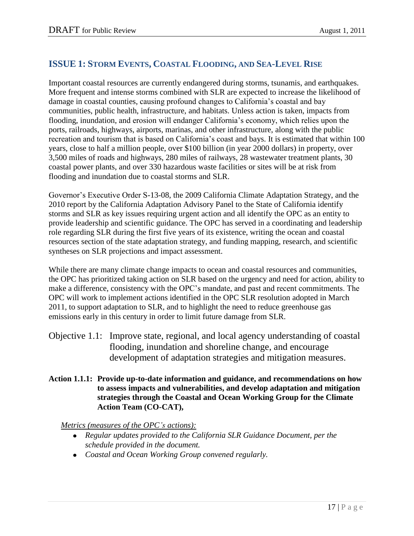### **ISSUE 1: STORM EVENTS, COASTAL FLOODING, AND SEA-LEVEL RISE**

Important coastal resources are currently endangered during storms, tsunamis, and earthquakes. More frequent and intense storms combined with SLR are expected to increase the likelihood of damage in coastal counties, causing profound changes to California's coastal and bay communities, public health, infrastructure, and habitats. Unless action is taken, impacts from flooding, inundation, and erosion will endanger California's economy, which relies upon the ports, railroads, highways, airports, marinas, and other infrastructure, along with the public recreation and tourism that is based on California's coast and bays. It is estimated that within 100 years, close to half a million people, over \$100 billion (in year 2000 dollars) in property, over 3,500 miles of roads and highways, 280 miles of railways, 28 wastewater treatment plants, 30 coastal power plants, and over 330 hazardous waste facilities or sites will be at risk from flooding and inundation due to coastal storms and SLR.

Governor's Executive Order S-13-08, the 2009 California Climate Adaptation Strategy, and the 2010 report by the California Adaptation Advisory Panel to the State of California identify storms and SLR as key issues requiring urgent action and all identify the OPC as an entity to provide leadership and scientific guidance. The OPC has served in a coordinating and leadership role regarding SLR during the first five years of its existence, writing the ocean and coastal resources section of the state adaptation strategy, and funding mapping, research, and scientific syntheses on SLR projections and impact assessment.

While there are many climate change impacts to ocean and coastal resources and communities, the OPC has prioritized taking action on SLR based on the urgency and need for action, ability to make a difference, consistency with the OPC's mandate, and past and recent commitments. The OPC will work to implement actions identified in the OPC SLR resolution adopted in March 2011, to support adaptation to SLR, and to highlight the need to reduce greenhouse gas emissions early in this century in order to limit future damage from SLR.

- Objective 1.1: Improve state, regional, and local agency understanding of coastal flooding, inundation and shoreline change, and encourage development of adaptation strategies and mitigation measures.
- **Action 1.1.1: Provide up-to-date information and guidance, and recommendations on how to assess impacts and vulnerabilities, and develop adaptation and mitigation strategies through the Coastal and Ocean Working Group for the Climate Action Team (CO-CAT),**

*Metrics (measures of the OPC"s actions):*

- *Regular updates provided to the California SLR Guidance Document, per the schedule provided in the document.*
- *Coastal and Ocean Working Group convened regularly.*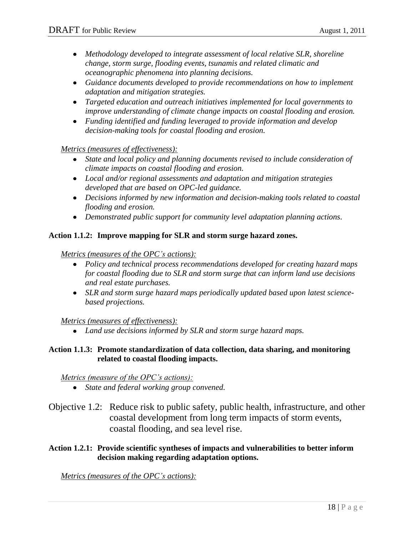- *Methodology developed to integrate assessment of local relative SLR, shoreline change, storm surge, flooding events, tsunamis and related climatic and oceanographic phenomena into planning decisions.*
- *Guidance documents developed to provide recommendations on how to implement adaptation and mitigation strategies.*
- *Targeted education and outreach initiatives implemented for local governments to improve understanding of climate change impacts on coastal flooding and erosion.*
- *Funding identified and funding leveraged to provide information and develop decision-making tools for coastal flooding and erosion.*

*Metrics (measures of effectiveness):*

- *State and local policy and planning documents revised to include consideration of climate impacts on coastal flooding and erosion.*
- *Local and/or regional assessments and adaptation and mitigation strategies developed that are based on OPC-led guidance.*
- *Decisions informed by new information and decision-making tools related to coastal flooding and erosion.*
- *Demonstrated public support for community level adaptation planning actions.*

#### **Action 1.1.2: Improve mapping for SLR and storm surge hazard zones.**

#### *Metrics (measures of the OPC"s actions):*

- *Policy and technical process recommendations developed for creating hazard maps for coastal flooding due to SLR and storm surge that can inform land use decisions and real estate purchases.*
- *SLR and storm surge hazard maps periodically updated based upon latest sciencebased projections.*

#### *Metrics (measures of effectiveness):*

*Land use decisions informed by SLR and storm surge hazard maps.* 

#### **Action 1.1.3: Promote standardization of data collection, data sharing, and monitoring related to coastal flooding impacts.**

#### *Metrics (measure of the OPC"s actions):*

- *State and federal working group convened.*  $\bullet$
- Objective 1.2: Reduce risk to public safety, public health, infrastructure, and other coastal development from long term impacts of storm events, coastal flooding, and sea level rise.

#### **Action 1.2.1: Provide scientific syntheses of impacts and vulnerabilities to better inform decision making regarding adaptation options.**

#### *Metrics (measures of the OPC"s actions):*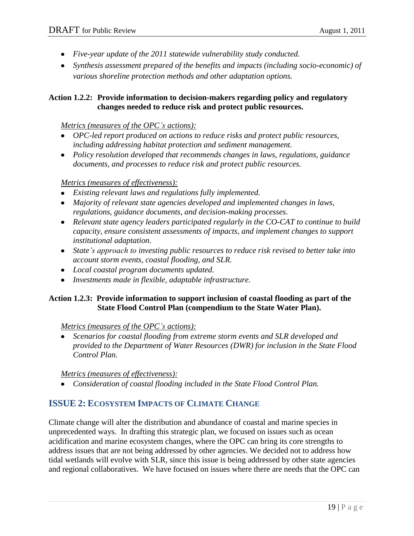- *Five-year update of the 2011 statewide vulnerability study conducted.*
- *Synthesis assessment prepared of the benefits and impacts (including socio-economic) of various shoreline protection methods and other adaptation options.*

#### **Action 1.2.2: Provide information to decision-makers regarding policy and regulatory changes needed to reduce risk and protect public resources.**

#### *Metrics (measures of the OPC"s actions):*

- *OPC-led report produced on actions to reduce risks and protect public resources, including addressing habitat protection and sediment management.*
- *Policy resolution developed that recommends changes in laws, regulations, guidance documents, and processes to reduce risk and protect public resources.*

#### *Metrics (measures of effectiveness):*

- *Existing relevant laws and regulations fully implemented.*
- *Majority of relevant state agencies developed and implemented changes in laws, regulations, guidance documents, and decision-making processes.*
- Relevant state agency leaders participated regularly in the CO-CAT to continue to build *capacity, ensure consistent assessments of impacts, and implement changes to support institutional adaptation.*
- *State"s approach to investing public resources to reduce risk revised to better take into account storm events, coastal flooding, and SLR.*
- *Local coastal program documents updated.*
- *Investments made in flexible, adaptable infrastructure.*

#### **Action 1.2.3: Provide information to support inclusion of coastal flooding as part of the State Flood Control Plan (compendium to the State Water Plan).**

*Metrics (measures of the OPC"s actions):*

*Scenarios for coastal flooding from extreme storm events and SLR developed and provided to the Department of Water Resources (DWR) for inclusion in the State Flood Control Plan.*

*Metrics (measures of effectiveness):*

*Consideration of coastal flooding included in the State Flood Control Plan.*

#### **ISSUE 2: ECOSYSTEM IMPACTS OF CLIMATE CHANGE**

Climate change will alter the distribution and abundance of coastal and marine species in unprecedented ways. In drafting this strategic plan, we focused on issues such as ocean acidification and marine ecosystem changes, where the OPC can bring its core strengths to address issues that are not being addressed by other agencies. We decided not to address how tidal wetlands will evolve with SLR, since this issue is being addressed by other state agencies and regional collaboratives. We have focused on issues where there are needs that the OPC can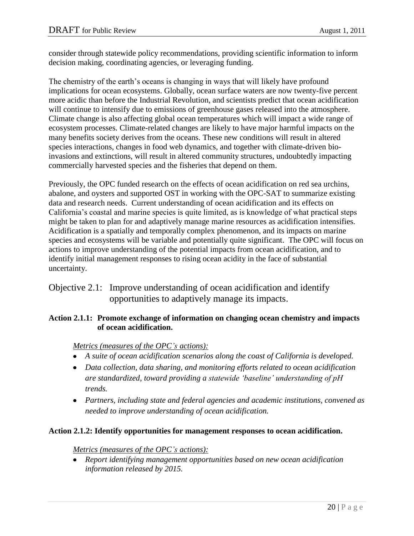consider through statewide policy recommendations, providing scientific information to inform decision making, coordinating agencies, or leveraging funding.

The chemistry of the earth's oceans is changing in ways that will likely have profound implications for ocean ecosystems. Globally, ocean surface waters are now twenty-five percent more acidic than before the Industrial Revolution, and scientists predict that ocean acidification will continue to intensify due to emissions of greenhouse gases released into the atmosphere. Climate change is also affecting global ocean temperatures which will impact a wide range of ecosystem processes. Climate-related changes are likely to have major harmful impacts on the many benefits society derives from the oceans. These new conditions will result in altered species interactions, changes in food web dynamics, and together with climate-driven bioinvasions and extinctions, will result in altered community structures, undoubtedly impacting commercially harvested species and the fisheries that depend on them.

Previously, the OPC funded research on the effects of ocean acidification on red sea urchins, abalone, and oysters and supported OST in working with the OPC-SAT to summarize existing data and research needs. Current understanding of ocean acidification and its effects on California's coastal and marine species is quite limited, as is knowledge of what practical steps might be taken to plan for and adaptively manage marine resources as acidification intensifies. Acidification is a spatially and temporally complex phenomenon, and its impacts on marine species and ecosystems will be variable and potentially quite significant. The OPC will focus on actions to improve understanding of the potential impacts from ocean acidification, and to identify initial management responses to rising ocean acidity in the face of substantial uncertainty.

#### Objective 2.1: Improve understanding of ocean acidification and identify opportunities to adaptively manage its impacts.

#### **Action 2.1.1: Promote exchange of information on changing ocean chemistry and impacts of ocean acidification.**

#### *Metrics (measures of the OPC"s actions):*

- *A suite of ocean acidification scenarios along the coast of California is developed.*
- *Data collection, data sharing, and monitoring efforts related to ocean acidification are standardized, toward providing a statewide "baseline" understanding of pH trends.*
- *Partners, including state and federal agencies and academic institutions, convened as needed to improve understanding of ocean acidification.*

#### **Action 2.1.2: Identify opportunities for management responses to ocean acidification.**

*Metrics (measures of the OPC"s actions):*

*Report identifying management opportunities based on new ocean acidification information released by 2015.*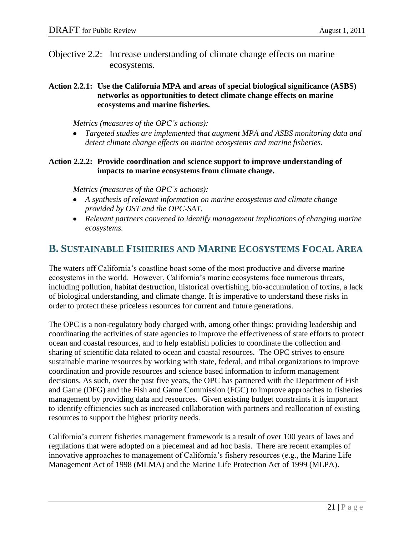Objective 2.2: Increase understanding of climate change effects on marine ecosystems.

#### **Action 2.2.1: Use the California MPA and areas of special biological significance (ASBS) networks as opportunities to detect climate change effects on marine ecosystems and marine fisheries.**

#### *Metrics (measures of the OPC"s actions):*

*Targeted studies are implemented that augment MPA and ASBS monitoring data and detect climate change effects on marine ecosystems and marine fisheries.* 

#### **Action 2.2.2: Provide coordination and science support to improve understanding of impacts to marine ecosystems from climate change.**

*Metrics (measures of the OPC"s actions):*

- *A synthesis of relevant information on marine ecosystems and climate change provided by OST and the OPC-SAT.*
- *Relevant partners convened to identify management implications of changing marine ecosystems.*

### **B. SUSTAINABLE FISHERIES AND MARINE ECOSYSTEMS FOCAL AREA**

The waters off California's coastline boast some of the most productive and diverse marine ecosystems in the world. However, California's marine ecosystems face numerous threats, including pollution, habitat destruction, historical overfishing, bio-accumulation of toxins, a lack of biological understanding, and climate change. It is imperative to understand these risks in order to protect these priceless resources for current and future generations.

The OPC is a non-regulatory body charged with, among other things: providing leadership and coordinating the activities of state agencies to improve the effectiveness of state efforts to protect ocean and coastal resources, and to help establish policies to coordinate the collection and sharing of scientific data related to ocean and coastal resources. The OPC strives to ensure sustainable marine resources by working with state, federal, and tribal organizations to improve coordination and provide resources and science based information to inform management decisions. As such, over the past five years, the OPC has partnered with the Department of Fish and Game (DFG) and the Fish and Game Commission (FGC) to improve approaches to fisheries management by providing data and resources. Given existing budget constraints it is important to identify efficiencies such as increased collaboration with partners and reallocation of existing resources to support the highest priority needs.

California's current fisheries management framework is a result of over 100 years of laws and regulations that were adopted on a piecemeal and ad hoc basis. There are recent examples of innovative approaches to management of California's fishery resources (e.g., the Marine Life Management Act of 1998 (MLMA) and the Marine Life Protection Act of 1999 (MLPA).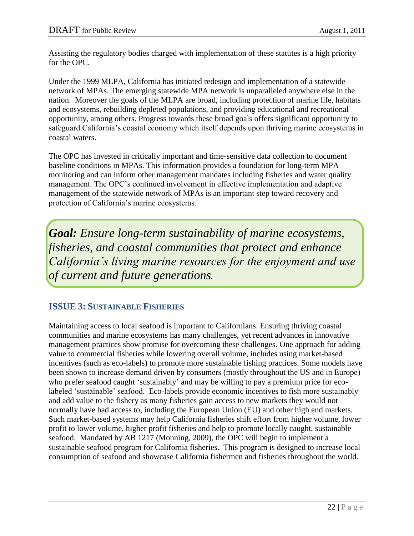Assisting the regulatory bodies charged with implementation of these statutes is a high priority for the OPC.

Under the 1999 MLPA, California has initiated redesign and implementation of a statewide network of MPAs. The emerging statewide MPA network is unparalleled anywhere else in the nation. Moreover the goals of the MLPA are broad, including protection of marine life, habitats and ecosystems, rebuilding depleted populations, and providing educational and recreational opportunity, among others. Progress towards these broad goals offers significant opportunity to safeguard California's coastal economy which itself depends upon thriving marine ecosystems in coastal waters.

The OPC has invested in critically important and time-sensitive data collection to document baseline conditions in MPAs. This information provides a foundation for long-term MPA monitoring and can inform other management mandates including fisheries and water quality management. The OPC's continued involvement in effective implementation and adaptive management of the statewide network of MPAs is an important step toward recovery and protection of California's marine ecosystems.

*Goal: Ensure long-term sustainability of marine ecosystems, fisheries, and coastal communities that protect and enhance California"s living marine resources for the enjoyment and use of current and future generations.* 

### **ISSUE 3: SUSTAINABLE FISHERIES**

Maintaining access to local seafood is important to Californians. Ensuring thriving coastal communities and marine ecosystems has many challenges, yet recent advances in innovative management practices show promise for overcoming these challenges. One approach for adding value to commercial fisheries while lowering overall volume, includes using market-based incentives (such as eco-labels) to promote more sustainable fishing practices. Some models have been shown to increase demand driven by consumers (mostly throughout the US and in Europe) who prefer seafood caught 'sustainably' and may be willing to pay a premium price for ecolabeled 'sustainable' seafood. Eco-labels provide economic incentives to fish more sustainably and add value to the fishery as many fisheries gain access to new markets they would not normally have had access to, including the European Union (EU) and other high end markets. Such market-based systems may help California fisheries shift effort from higher volume, lower profit to lower volume, higher profit fisheries and help to promote locally caught, sustainable seafood. Mandated by AB 1217 (Monning, 2009), the OPC will begin to implement a sustainable seafood program for California fisheries. This program is designed to increase local consumption of seafood and showcase California fishermen and fisheries throughout the world.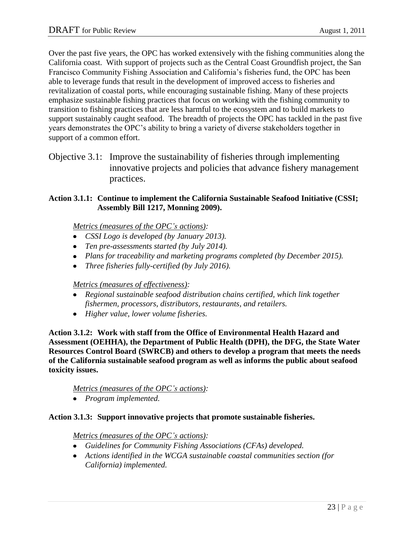Over the past five years, the OPC has worked extensively with the fishing communities along the California coast. With support of projects such as the Central Coast Groundfish project, the San Francisco Community Fishing Association and California's fisheries fund, the OPC has been able to leverage funds that result in the development of improved access to fisheries and revitalization of coastal ports, while encouraging sustainable fishing. Many of these projects emphasize sustainable fishing practices that focus on working with the fishing community to transition to fishing practices that are less harmful to the ecosystem and to build markets to support sustainably caught seafood. The breadth of projects the OPC has tackled in the past five years demonstrates the OPC's ability to bring a variety of diverse stakeholders together in support of a common effort.

Objective 3.1: Improve the sustainability of fisheries through implementing innovative projects and policies that advance fishery management practices.

#### **Action 3.1.1: Continue to implement the California Sustainable Seafood Initiative (CSSI; Assembly Bill 1217, Monning 2009).**

#### *Metrics (measures of the OPC"s actions):*

- *CSSI Logo is developed (by January 2013).*
- *Ten pre-assessments started (by July 2014).*
- *Plans for traceability and marketing programs completed (by December 2015).*
- *Three fisheries fully-certified (by July 2016).*

#### *Metrics (measures of effectiveness):*

- *Regional sustainable seafood distribution chains certified, which link together fishermen, processors, distributors, restaurants, and retailers.*
- *Higher value, lower volume fisheries.*

**Action 3.1.2: Work with staff from the Office of Environmental Health Hazard and Assessment (OEHHA), the Department of Public Health (DPH), the DFG, the State Water Resources Control Board (SWRCB) and others to develop a program that meets the needs of the California sustainable seafood program as well as informs the public about seafood toxicity issues.** 

#### *Metrics (measures of the OPC"s actions):*

*Program implemented.*

#### **Action 3.1.3: Support innovative projects that promote sustainable fisheries.**

#### *Metrics (measures of the OPC"s actions):*

- *Guidelines for Community Fishing Associations (CFAs) developed.*
- *Actions identified in the WCGA sustainable coastal communities section (for California) implemented.*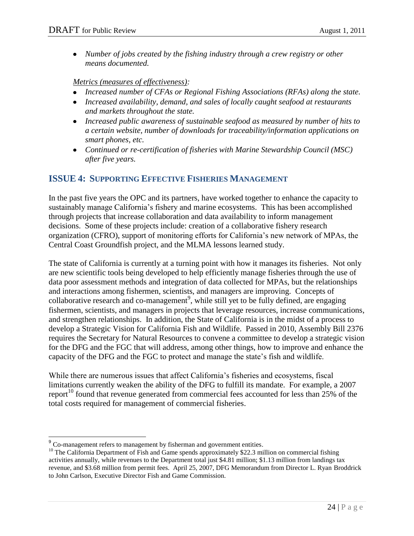*Number of jobs created by the fishing industry through a crew registry or other means documented.*

*Metrics (measures of effectiveness):*

- *Increased number of CFAs or Regional Fishing Associations (RFAs) along the state.*
- *Increased availability, demand, and sales of locally caught seafood at restaurants and markets throughout the state.*
- *Increased public awareness of sustainable seafood as measured by number of hits to a certain website, number of downloads for traceability/information applications on smart phones, etc.*
- *Continued or re-certification of fisheries with Marine Stewardship Council (MSC) after five years.*

#### **ISSUE 4: SUPPORTING EFFECTIVE FISHERIES MANAGEMENT**

In the past five years the OPC and its partners, have worked together to enhance the capacity to sustainably manage California's fishery and marine ecosystems. This has been accomplished through projects that increase collaboration and data availability to inform management decisions. Some of these projects include: creation of a collaborative fishery research organization (CFRO), support of monitoring efforts for California's new network of MPAs, the Central Coast Groundfish project, and the MLMA lessons learned study.

The state of California is currently at a turning point with how it manages its fisheries. Not only are new scientific tools being developed to help efficiently manage fisheries through the use of data poor assessment methods and integration of data collected for MPAs, but the relationships and interactions among fishermen, scientists, and managers are improving. Concepts of collaborative research and co-management<sup>9</sup>, while still yet to be fully defined, are engaging fishermen, scientists, and managers in projects that leverage resources, increase communications, and strengthen relationships. In addition, the State of California is in the midst of a process to develop a Strategic Vision for California Fish and Wildlife. Passed in 2010, Assembly Bill 2376 requires the Secretary for Natural Resources to convene a committee to develop a strategic vision for the DFG and the FGC that will address, among other things, how to improve and enhance the capacity of the DFG and the FGC to protect and manage the state's fish and wildlife.

While there are numerous issues that affect California's fisheries and ecosystems, fiscal limitations currently weaken the ability of the DFG to fulfill its mandate. For example, a 2007 report<sup>10</sup> found that revenue generated from commercial fees accounted for less than  $25\%$  of the total costs required for management of commercial fisheries.

 $\overline{a}$ 

 $\rm{^{9}}$  Co-management refers to management by fisherman and government entities.

<sup>&</sup>lt;sup>10</sup> The California Department of Fish and Game spends approximately \$22.3 million on commercial fishing activities annually, while revenues to the Department total just \$4.81 million; \$1.13 million from landings tax revenue, and \$3.68 million from permit fees. April 25, 2007, DFG Memorandum from Director L. Ryan Broddrick to John Carlson, Executive Director Fish and Game Commission.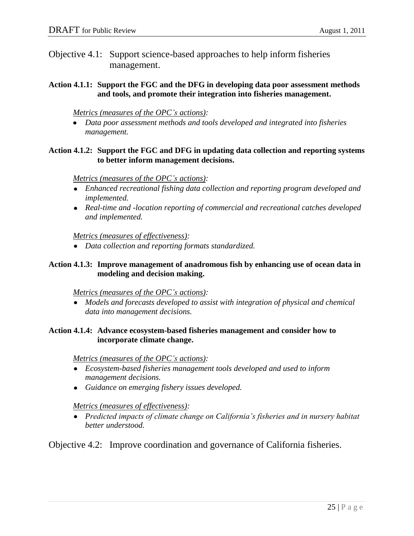Objective 4.1: Support science-based approaches to help inform fisheries management.

#### **Action 4.1.1: Support the FGC and the DFG in developing data poor assessment methods and tools, and promote their integration into fisheries management.**

*Metrics (measures of the OPC"s actions):*

*Data poor assessment methods and tools developed and integrated into fisheries management.*

#### **Action 4.1.2: Support the FGC and DFG in updating data collection and reporting systems to better inform management decisions.**

*Metrics (measures of the OPC"s actions):*

- *Enhanced recreational fishing data collection and reporting program developed and implemented.*
- *Real-time and -location reporting of commercial and recreational catches developed and implemented.*

*Metrics (measures of effectiveness):*

*Data collection and reporting formats standardized.*

#### **Action 4.1.3: Improve management of anadromous fish by enhancing use of ocean data in modeling and decision making.**

*Metrics (measures of the OPC"s actions):*

*Models and forecasts developed to assist with integration of physical and chemical data into management decisions.*

#### **Action 4.1.4: Advance ecosystem-based fisheries management and consider how to incorporate climate change.**

*Metrics (measures of the OPC"s actions):*

- *Ecosystem-based fisheries management tools developed and used to inform management decisions.*
- *Guidance on emerging fishery issues developed.*

#### *Metrics (measures of effectiveness):*

*Predicted impacts of climate change on California"s fisheries and in nursery habitat better understood.*

Objective 4.2: Improve coordination and governance of California fisheries.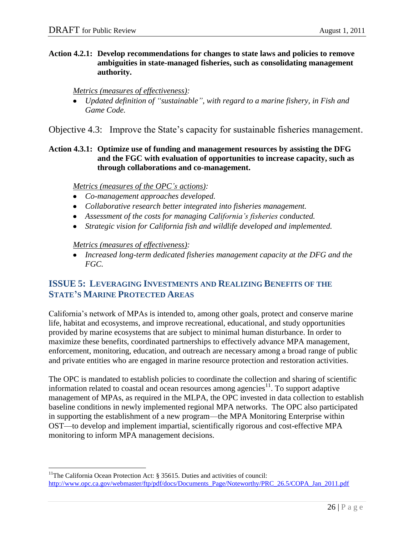#### **Action 4.2.1: Develop recommendations for changes to state laws and policies to remove ambiguities in state-managed fisheries, such as consolidating management authority.**

#### *Metrics (measures of effectiveness):*

*Updated definition of "sustainable", with regard to a marine fishery, in Fish and Game Code.*

Objective 4.3: Improve the State's capacity for sustainable fisheries management.

#### **Action 4.3.1: Optimize use of funding and management resources by assisting the DFG and the FGC with evaluation of opportunities to increase capacity, such as through collaborations and co-management.**

*Metrics (measures of the OPC"s actions):*

- *Co-management approaches developed.*
- *Collaborative research better integrated into fisheries management.*
- *Assessment of the costs for managing California"s fisheries conducted.*
- *Strategic vision for California fish and wildlife developed and implemented.*

#### *Metrics (measures of effectiveness):*

 $\overline{a}$ 

*Increased long-term dedicated fisheries management capacity at the DFG and the FGC.*

#### **ISSUE 5: LEVERAGING INVESTMENTS AND REALIZING BENEFITS OF THE STATE'S MARINE PROTECTED AREAS**

California's network of MPAs is intended to, among other goals, protect and conserve marine life, habitat and ecosystems, and improve recreational, educational, and study opportunities provided by marine ecosystems that are subject to minimal human disturbance. In order to maximize these benefits, coordinated partnerships to effectively advance MPA management, enforcement, monitoring, education, and outreach are necessary among a broad range of public and private entities who are engaged in marine resource protection and restoration activities.

The OPC is mandated to establish policies to coordinate the collection and sharing of scientific information related to coastal and ocean resources among agencies<sup>11</sup>. To support adaptive management of MPAs, as required in the MLPA, the OPC invested in data collection to establish baseline conditions in newly implemented regional MPA networks. The OPC also participated in supporting the establishment of a new program—the MPA Monitoring Enterprise within OST—to develop and implement impartial, scientifically rigorous and cost-effective MPA monitoring to inform MPA management decisions.

<sup>&</sup>lt;sup>11</sup>The California Ocean Protection Act: § 35615. Duties and activities of council: [http://www.opc.ca.gov/webmaster/ftp/pdf/docs/Documents\\_Page/Noteworthy/PRC\\_26.5/COPA\\_Jan\\_2011.pdf](http://www.opc.ca.gov/webmaster/ftp/pdf/docs/Documents_Page/Noteworthy/PRC_26.5/COPA_Jan_2011.pdf)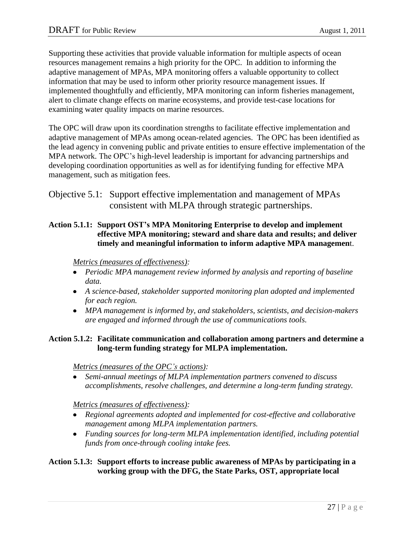Supporting these activities that provide valuable information for multiple aspects of ocean resources management remains a high priority for the OPC. In addition to informing the adaptive management of MPAs, MPA monitoring offers a valuable opportunity to collect information that may be used to inform other priority resource management issues. If implemented thoughtfully and efficiently, MPA monitoring can inform fisheries management, alert to climate change effects on marine ecosystems, and provide test-case locations for examining water quality impacts on marine resources.

The OPC will draw upon its coordination strengths to facilitate effective implementation and adaptive management of MPAs among ocean-related agencies. The OPC has been identified as the lead agency in convening public and private entities to ensure effective implementation of the MPA network. The OPC's high-level leadership is important for advancing partnerships and developing coordination opportunities as well as for identifying funding for effective MPA management, such as mitigation fees.

Objective 5.1: Support effective implementation and management of MPAs consistent with MLPA through strategic partnerships.

#### **Action 5.1.1: Support OST's MPA Monitoring Enterprise to develop and implement effective MPA monitoring; steward and share data and results; and deliver timely and meaningful information to inform adaptive MPA managemen**t.

*Metrics (measures of effectiveness):*

- *Periodic MPA management review informed by analysis and reporting of baseline data.*
- *A science-based, stakeholder supported monitoring plan adopted and implemented for each region.*
- *MPA management is informed by, and stakeholders, scientists, and decision-makers are engaged and informed through the use of communications tools.*

#### **Action 5.1.2: Facilitate communication and collaboration among partners and determine a long-term funding strategy for MLPA implementation.**

*Metrics (measures of the OPC"s actions):*

 $\bullet$ *Semi-annual meetings of MLPA implementation partners convened to discuss accomplishments, resolve challenges, and determine a long-term funding strategy.*

*Metrics (measures of effectiveness):*

- *Regional agreements adopted and implemented for cost-effective and collaborative management among MLPA implementation partners.*
- *Funding sources for long-term MLPA implementation identified, including potential funds from once-through cooling intake fees.*

#### **Action 5.1.3: Support efforts to increase public awareness of MPAs by participating in a working group with the DFG, the State Parks, OST, appropriate local**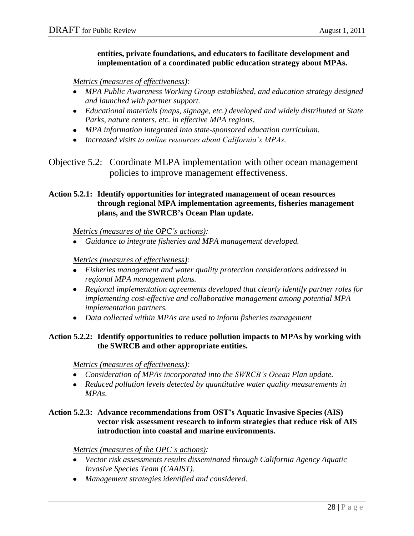#### **entities, private foundations, and educators to facilitate development and implementation of a coordinated public education strategy about MPAs.**

*Metrics (measures of effectiveness):*

- *MPA Public Awareness Working Group established, and education strategy designed and launched with partner support.*
- Educational materials (maps, signage, etc.) developed and widely distributed at State *Parks, nature centers, etc. in effective MPA regions.*
- *MPA information integrated into state-sponsored education curriculum.*
- *Increased visits to online resources about California"s MPAs.*

Objective 5.2: Coordinate MLPA implementation with other ocean management policies to improve management effectiveness.

#### **Action 5.2.1: Identify opportunities for integrated management of ocean resources through regional MPA implementation agreements, fisheries management plans, and the SWRCB's Ocean Plan update.**

*Metrics (measures of the OPC"s actions):*

*Guidance to integrate fisheries and MPA management developed.*

*Metrics (measures of effectiveness):*

- *Fisheries management and water quality protection considerations addressed in regional MPA management plans.*
- *Regional implementation agreements developed that clearly identify partner roles for implementing cost-effective and collaborative management among potential MPA implementation partners.*
- *Data collected within MPAs are used to inform fisheries management*

#### **Action 5.2.2: Identify opportunities to reduce pollution impacts to MPAs by working with the SWRCB and other appropriate entities.**

*Metrics (measures of effectiveness):*

- *Consideration of MPAs incorporated into the SWRCB"s Ocean Plan update.*
- *Reduced pollution levels detected by quantitative water quality measurements in MPAs*.

#### **Action 5.2.3: Advance recommendations from OST's Aquatic Invasive Species (AIS) vector risk assessment research to inform strategies that reduce risk of AIS introduction into coastal and marine environments.**

*Metrics (measures of the OPC"s actions):*

- *Vector risk assessments results disseminated through California Agency Aquatic Invasive Species Team (CAAIST).*
- *Management strategies identified and considered.*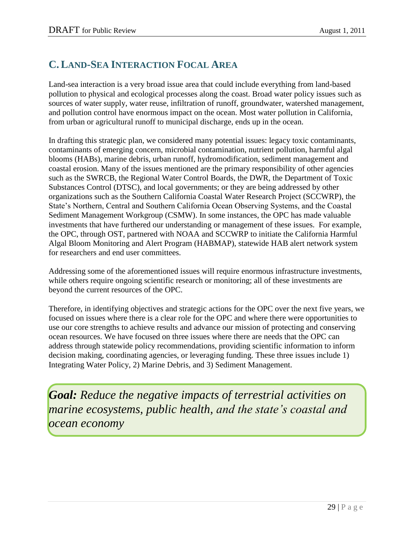### **C.LAND-SEA INTERACTION FOCAL AREA**

Land-sea interaction is a very broad issue area that could include everything from land-based pollution to physical and ecological processes along the coast. Broad water policy issues such as sources of water supply, water reuse, infiltration of runoff, groundwater, watershed management, and pollution control have enormous impact on the ocean. Most water pollution in California, from urban or agricultural runoff to municipal discharge, ends up in the ocean.

In drafting this strategic plan, we considered many potential issues: legacy toxic contaminants, contaminants of emerging concern, microbial contamination, nutrient pollution, harmful algal blooms (HABs), marine debris, urban runoff, hydromodification, sediment management and coastal erosion. Many of the issues mentioned are the primary responsibility of other agencies such as the SWRCB, the Regional Water Control Boards, the DWR, the Department of Toxic Substances Control (DTSC), and local governments; or they are being addressed by other organizations such as the Southern California Coastal Water Research Project (SCCWRP), the State's Northern, Central and Southern California Ocean Observing Systems, and the Coastal Sediment Management Workgroup (CSMW). In some instances, the OPC has made valuable investments that have furthered our understanding or management of these issues. For example, the OPC, through OST, partnered with NOAA and SCCWRP to initiate the California Harmful Algal Bloom Monitoring and Alert Program (HABMAP), statewide HAB alert network system for researchers and end user committees.

Addressing some of the aforementioned issues will require enormous infrastructure investments, while others require ongoing scientific research or monitoring; all of these investments are beyond the current resources of the OPC.

Therefore, in identifying objectives and strategic actions for the OPC over the next five years, we focused on issues where there is a clear role for the OPC and where there were opportunities to use our core strengths to achieve results and advance our mission of protecting and conserving ocean resources. We have focused on three issues where there are needs that the OPC can address through statewide policy recommendations, providing scientific information to inform decision making, coordinating agencies, or leveraging funding. These three issues include 1) Integrating Water Policy, 2) Marine Debris, and 3) Sediment Management.

*Goal: Reduce the negative impacts of terrestrial activities on marine ecosystems, public health, and the state"s coastal and ocean economy*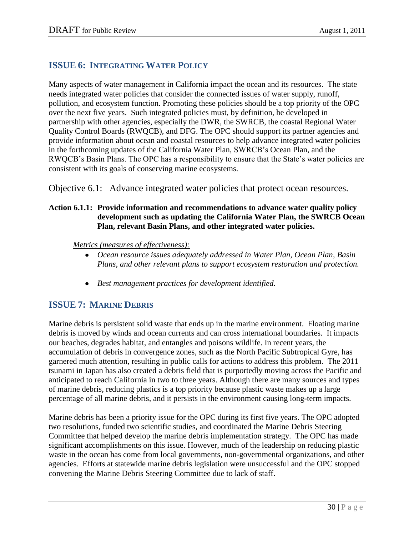### **ISSUE 6: INTEGRATING WATER POLICY**

Many aspects of water management in California impact the ocean and its resources. The state needs integrated water policies that consider the connected issues of water supply, runoff, pollution, and ecosystem function. Promoting these policies should be a top priority of the OPC over the next five years. Such integrated policies must, by definition, be developed in partnership with other agencies, especially the DWR, the SWRCB, the coastal Regional Water Quality Control Boards (RWQCB), and DFG. The OPC should support its partner agencies and provide information about ocean and coastal resources to help advance integrated water policies in the forthcoming updates of the California Water Plan, SWRCB's Ocean Plan, and the RWQCB's Basin Plans. The OPC has a responsibility to ensure that the State's water policies are consistent with its goals of conserving marine ecosystems.

Objective 6.1: Advance integrated water policies that protect ocean resources.

#### **Action 6.1.1: Provide information and recommendations to advance water quality policy development such as updating the California Water Plan, the SWRCB Ocean Plan, relevant Basin Plans, and other integrated water policies.**

*Metrics (measures of effectiveness):*

- *Ocean resource issues adequately addressed in Water Plan, Ocean Plan, Basin*   $\bullet$ *Plans, and other relevant plans to support ecosystem restoration and protection.*
- *Best management practices for development identified.*

#### **ISSUE 7: MARINE DEBRIS**

Marine debris is persistent solid waste that ends up in the marine environment. Floating marine debris is moved by winds and ocean currents and can cross international boundaries. It impacts our beaches, degrades habitat, and entangles and poisons wildlife. In recent years, the accumulation of debris in convergence zones, such as the North Pacific Subtropical Gyre, has garnered much attention, resulting in public calls for actions to address this problem. The 2011 tsunami in Japan has also created a debris field that is purportedly moving across the Pacific and anticipated to reach California in two to three years. Although there are many sources and types of marine debris, reducing plastics is a top priority because plastic waste makes up a large percentage of all marine debris, and it persists in the environment causing long-term impacts.

Marine debris has been a priority issue for the OPC during its first five years. The OPC adopted two resolutions, funded two scientific studies, and coordinated the Marine Debris Steering Committee that helped develop the marine debris implementation strategy. The OPC has made significant accomplishments on this issue. However, much of the leadership on reducing plastic waste in the ocean has come from local governments, non-governmental organizations, and other agencies. Efforts at statewide marine debris legislation were unsuccessful and the OPC stopped convening the Marine Debris Steering Committee due to lack of staff.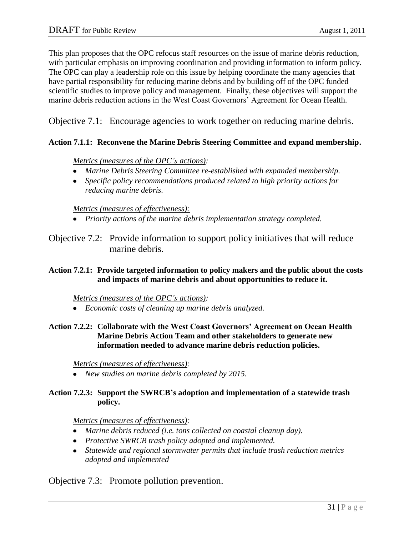This plan proposes that the OPC refocus staff resources on the issue of marine debris reduction, with particular emphasis on improving coordination and providing information to inform policy. The OPC can play a leadership role on this issue by helping coordinate the many agencies that have partial responsibility for reducing marine debris and by building off of the OPC funded scientific studies to improve policy and management. Finally, these objectives will support the marine debris reduction actions in the West Coast Governors' Agreement for Ocean Health.

Objective 7.1: Encourage agencies to work together on reducing marine debris.

#### **Action 7.1.1: Reconvene the Marine Debris Steering Committee and expand membership.**

#### *Metrics (measures of the OPC"s actions):*

- *Marine Debris Steering Committee re-established with expanded membership.*
- *Specific policy recommendations produced related to high priority actions for reducing marine debris.*

*Metrics (measures of effectiveness):*

*Priority actions of the marine debris implementation strategy completed.* 

#### **Action 7.2.1: Provide targeted information to policy makers and the public about the costs and impacts of marine debris and about opportunities to reduce it.**

*Metrics (measures of the OPC"s actions):*

*Economic costs of cleaning up marine debris analyzed.*

#### **Action 7.2.2: Collaborate with the West Coast Governors' Agreement on Ocean Health Marine Debris Action Team and other stakeholders to generate new information needed to advance marine debris reduction policies.**

*Metrics (measures of effectiveness):*

*New studies on marine debris completed by 2015.*

#### **Action 7.2.3: Support the SWRCB's adoption and implementation of a statewide trash policy.**

*Metrics (measures of effectiveness):*

- *Marine debris reduced (i.e. tons collected on coastal cleanup day).*
- *Protective SWRCB trash policy adopted and implemented.*
- *Statewide and regional stormwater permits that include trash reduction metrics adopted and implemented*

Objective 7.3: Promote pollution prevention.

Objective 7.2: Provide information to support policy initiatives that will reduce marine debris.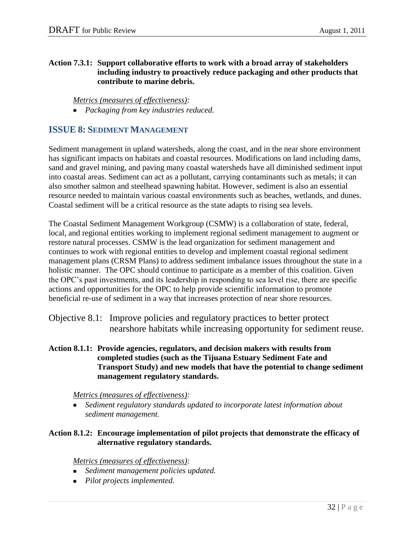#### **Action 7.3.1: Support collaborative efforts to work with a broad array of stakeholders including industry to proactively reduce packaging and other products that contribute to marine debris.**

*Metrics (measures of effectiveness):*

*Packaging from key industries reduced.*

#### **ISSUE 8: SEDIMENT MANAGEMENT**

Sediment management in upland watersheds, along the coast, and in the near shore environment has significant impacts on habitats and coastal resources. Modifications on land including dams, sand and gravel mining, and paving many coastal watersheds have all diminished sediment input into coastal areas. Sediment can act as a pollutant, carrying contaminants such as metals; it can also smother salmon and steelhead spawning habitat. However, sediment is also an essential resource needed to maintain various coastal environments such as beaches, wetlands, and dunes. Coastal sediment will be a critical resource as the state adapts to rising sea levels.

The Coastal Sediment Management Workgroup (CSMW) is a collaboration of state, federal, local, and regional entities working to implement regional sediment management to augment or restore natural processes. CSMW is the lead organization for sediment management and continues to work with regional entities to develop and implement coastal regional sediment management plans (CRSM Plans) to address sediment imbalance issues throughout the state in a holistic manner. The OPC should continue to participate as a member of this coalition. Given the OPC's past investments, and its leadership in responding to sea level rise, there are specific actions and opportunities for the OPC to help provide scientific information to promote beneficial re-use of sediment in a way that increases protection of near shore resources.

Objective 8.1: Improve policies and regulatory practices to better protect nearshore habitats while increasing opportunity for sediment reuse.

**Action 8.1.1: Provide agencies, regulators, and decision makers with results from completed studies (such as the Tijuana Estuary Sediment Fate and Transport Study) and new models that have the potential to change sediment management regulatory standards.**

*Metrics (measures of effectiveness):*

*Sediment regulatory standards updated to incorporate latest information about sediment management.*

#### **Action 8.1.2: Encourage implementation of pilot projects that demonstrate the efficacy of alternative regulatory standards.**

*Metrics (measures of effectiveness):*

- *Sediment management policies updated.*
- *Pilot projects implemented.*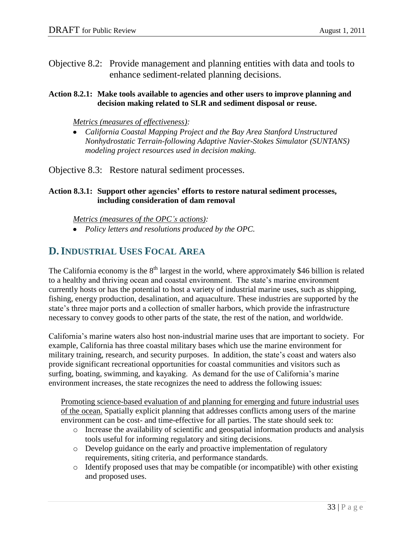Objective 8.2: Provide management and planning entities with data and tools to enhance sediment-related planning decisions.

#### **Action 8.2.1: Make tools available to agencies and other users to improve planning and decision making related to SLR and sediment disposal or reuse.**

#### *Metrics (measures of effectiveness):*

*California Coastal Mapping Project and the Bay Area Stanford Unstructured Nonhydrostatic Terrain-following Adaptive Navier-Stokes Simulator (SUNTANS) modeling project resources used in decision making.*

Objective 8.3: Restore natural sediment processes.

#### **Action 8.3.1: Support other agencies' efforts to restore natural sediment processes, including consideration of dam removal**

*Metrics (measures of the OPC"s actions):*

*Policy letters and resolutions produced by the OPC.*

### **D.INDUSTRIAL USES FOCAL AREA**

The California economy is the  $8<sup>th</sup>$  largest in the world, where approximately \$46 billion is related to a healthy and thriving ocean and coastal environment. The state's marine environment currently hosts or has the potential to host a variety of industrial marine uses, such as shipping, fishing, energy production, desalination, and aquaculture. These industries are supported by the state's three major ports and a collection of smaller harbors, which provide the infrastructure necessary to convey goods to other parts of the state, the rest of the nation, and worldwide.

California's marine waters also host non-industrial marine uses that are important to society. For example, California has three coastal military bases which use the marine environment for military training, research, and security purposes. In addition, the state's coast and waters also provide significant recreational opportunities for coastal communities and visitors such as surfing, boating, swimming, and kayaking. As demand for the use of California's marine environment increases, the state recognizes the need to address the following issues:

Promoting science-based evaluation of and planning for emerging and future industrial uses of the ocean. Spatially explicit planning that addresses conflicts among users of the marine environment can be cost- and time-effective for all parties. The state should seek to:

- o Increase the availability of scientific and geospatial information products and analysis tools useful for informing regulatory and siting decisions.
- o Develop guidance on the early and proactive implementation of regulatory requirements, siting criteria, and performance standards.
- o Identify proposed uses that may be compatible (or incompatible) with other existing and proposed uses.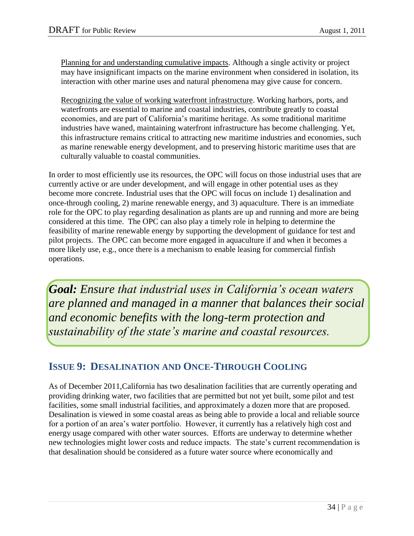Planning for and understanding cumulative impacts. Although a single activity or project may have insignificant impacts on the marine environment when considered in isolation, its interaction with other marine uses and natural phenomena may give cause for concern.

Recognizing the value of working waterfront infrastructure. Working harbors, ports, and waterfronts are essential to marine and coastal industries, contribute greatly to coastal economies, and are part of California's maritime heritage. As some traditional maritime industries have waned, maintaining waterfront infrastructure has become challenging. Yet, this infrastructure remains critical to attracting new maritime industries and economies, such as marine renewable energy development, and to preserving historic maritime uses that are culturally valuable to coastal communities.

In order to most efficiently use its resources, the OPC will focus on those industrial uses that are currently active or are under development, and will engage in other potential uses as they become more concrete. Industrial uses that the OPC will focus on include 1) desalination and once-through cooling, 2) marine renewable energy, and 3) aquaculture. There is an immediate role for the OPC to play regarding desalination as plants are up and running and more are being considered at this time. The OPC can also play a timely role in helping to determine the feasibility of marine renewable energy by supporting the development of guidance for test and pilot projects. The OPC can become more engaged in aquaculture if and when it becomes a more likely use, e.g., once there is a mechanism to enable leasing for commercial finfish operations.

*Goal: Ensure that industrial uses in California"s ocean waters are planned and managed in a manner that balances their social and economic benefits with the long-term protection and sustainability of the state"s marine and coastal resources.*

### **ISSUE 9: DESALINATION AND ONCE-THROUGH COOLING**

As of December 2011,California has two desalination facilities that are currently operating and providing drinking water, two facilities that are permitted but not yet built, some pilot and test facilities, some small industrial facilities, and approximately a dozen more that are proposed. Desalination is viewed in some coastal areas as being able to provide a local and reliable source for a portion of an area's water portfolio. However, it currently has a relatively high cost and energy usage compared with other water sources. Efforts are underway to determine whether new technologies might lower costs and reduce impacts. The state's current recommendation is that desalination should be considered as a future water source where economically and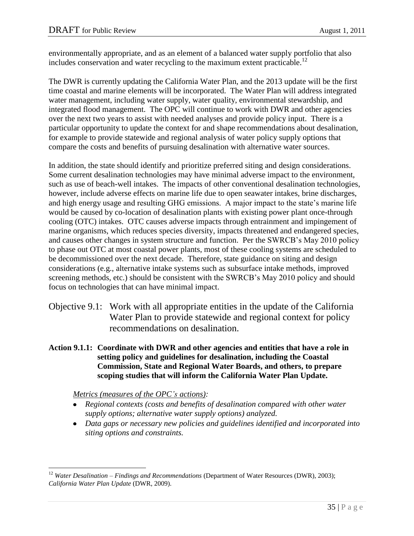environmentally appropriate, and as an element of a balanced water supply portfolio that also includes conservation and water recycling to the maximum extent practicable.<sup>12</sup>

The DWR is currently updating the California Water Plan, and the 2013 update will be the first time coastal and marine elements will be incorporated. The Water Plan will address integrated water management, including water supply, water quality, environmental stewardship, and integrated flood management. The OPC will continue to work with DWR and other agencies over the next two years to assist with needed analyses and provide policy input. There is a particular opportunity to update the context for and shape recommendations about desalination, for example to provide statewide and regional analysis of water policy supply options that compare the costs and benefits of pursuing desalination with alternative water sources.

In addition, the state should identify and prioritize preferred siting and design considerations. Some current desalination technologies may have minimal adverse impact to the environment, such as use of beach-well intakes. The impacts of other conventional desalination technologies, however, include adverse effects on marine life due to open seawater intakes, brine discharges, and high energy usage and resulting GHG emissions. A major impact to the state's marine life would be caused by co-location of desalination plants with existing power plant once-through cooling (OTC) intakes. OTC causes adverse impacts through entrainment and impingement of marine organisms, which reduces species diversity, impacts threatened and endangered species, and causes other changes in system structure and function. Per the SWRCB's May 2010 policy to phase out OTC at most coastal power plants, most of these cooling systems are scheduled to be decommissioned over the next decade. Therefore, state guidance on siting and design considerations (e.g., alternative intake systems such as subsurface intake methods, improved screening methods, etc.) should be consistent with the SWRCB's May 2010 policy and should focus on technologies that can have minimal impact.

- Objective 9.1: Work with all appropriate entities in the update of the California Water Plan to provide statewide and regional context for policy recommendations on desalination.
- **Action 9.1.1: Coordinate with DWR and other agencies and entities that have a role in setting policy and guidelines for desalination, including the Coastal Commission, State and Regional Water Boards, and others, to prepare scoping studies that will inform the California Water Plan Update.**

*Metrics (measures of the OPC"s actions):*

 $\overline{a}$ 

- *Regional contexts (costs and benefits of desalination compared with other water supply options; alternative water supply options) analyzed.*
- *Data gaps or necessary new policies and guidelines identified and incorporated into siting options and constraints.*

<sup>&</sup>lt;sup>12</sup> Water Desalination – Findings and Recommendations (Department of Water Resources (DWR), 2003); *California Water Plan Update* (DWR, 2009).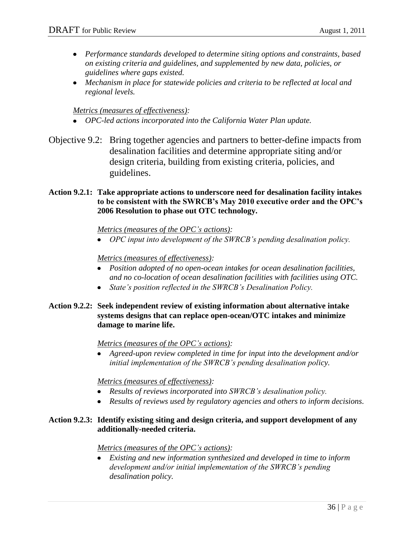- *Performance standards developed to determine siting options and constraints, based on existing criteria and guidelines, and supplemented by new data, policies, or guidelines where gaps existed.*
- *Mechanism in place for statewide policies and criteria to be reflected at local and regional levels.*

#### *Metrics (measures of effectiveness):*

- *OPC-led actions incorporated into the California Water Plan update.*
- Objective 9.2: Bring together agencies and partners to better-define impacts from desalination facilities and determine appropriate siting and/or design criteria, building from existing criteria, policies, and guidelines.

#### **Action 9.2.1: Take appropriate actions to underscore need for desalination facility intakes to be consistent with the SWRCB's May 2010 executive order and the OPC's 2006 Resolution to phase out OTC technology.**

#### *Metrics (measures of the OPC"s actions):*

*OPC input into development of the SWRCB"s pending desalination policy.*

#### *Metrics (measures of effectiveness):*

- *Position adopted of no open-ocean intakes for ocean desalination facilities, and no co-location of ocean desalination facilities with facilities using OTC.*
- *State"s position reflected in the SWRCB"s Desalination Policy.*
- **Action 9.2.2: Seek independent review of existing information about alternative intake systems designs that can replace open-ocean/OTC intakes and minimize damage to marine life.**

#### *Metrics (measures of the OPC"s actions):*

*Agreed-upon review completed in time for input into the development and/or initial implementation of the SWRCB"s pending desalination policy.*

*Metrics (measures of effectiveness):*

- *Results of reviews incorporated into SWRCB"s desalination policy.*
- *Results of reviews used by regulatory agencies and others to inform decisions.*

#### **Action 9.2.3: Identify existing siting and design criteria, and support development of any additionally-needed criteria.**

#### *Metrics (measures of the OPC"s actions):*

*Existing and new information synthesized and developed in time to inform*   $\bullet$ *development and/or initial implementation of the SWRCB"s pending desalination policy.*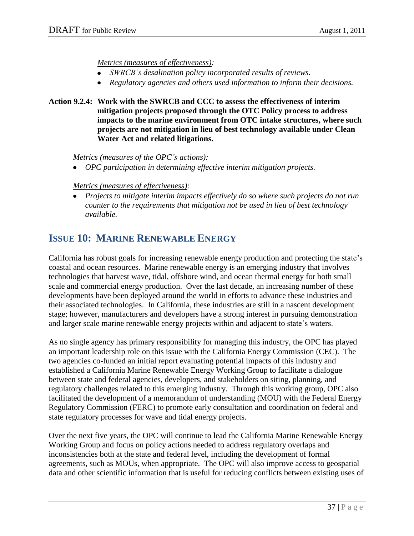*Metrics (measures of effectiveness):*

- *SWRCB"s desalination policy incorporated results of reviews.*
- *Regulatory agencies and others used information to inform their decisions.*
- **Action 9.2.4: Work with the SWRCB and CCC to assess the effectiveness of interim mitigation projects proposed through the OTC Policy process to address impacts to the marine environment from OTC intake structures, where such projects are not mitigation in lieu of best technology available under Clean Water Act and related litigations.**

*Metrics (measures of the OPC"s actions):*

*OPC participation in determining effective interim mitigation projects.*

*Metrics (measures of effectiveness):*

*Projects to mitigate interim impacts effectively do so where such projects do not run counter to the requirements that mitigation not be used in lieu of best technology available.*

### **ISSUE 10: MARINE RENEWABLE ENERGY**

California has robust goals for increasing renewable energy production and protecting the state's coastal and ocean resources. Marine renewable energy is an emerging industry that involves technologies that harvest wave, tidal, offshore wind, and ocean thermal energy for both small scale and commercial energy production. Over the last decade, an increasing number of these developments have been deployed around the world in efforts to advance these industries and their associated technologies. In California, these industries are still in a nascent development stage; however, manufacturers and developers have a strong interest in pursuing demonstration and larger scale marine renewable energy projects within and adjacent to state's waters.

As no single agency has primary responsibility for managing this industry, the OPC has played an important leadership role on this issue with the California Energy Commission (CEC). The two agencies co-funded an initial report evaluating potential impacts of this industry and established a California Marine Renewable Energy Working Group to facilitate a dialogue between state and federal agencies, developers, and stakeholders on siting, planning, and regulatory challenges related to this emerging industry. Through this working group, OPC also facilitated the development of a memorandum of understanding (MOU) with the Federal Energy Regulatory Commission (FERC) to promote early consultation and coordination on federal and state regulatory processes for wave and tidal energy projects.

Over the next five years, the OPC will continue to lead the California Marine Renewable Energy Working Group and focus on policy actions needed to address regulatory overlaps and inconsistencies both at the state and federal level, including the development of formal agreements, such as MOUs, when appropriate. The OPC will also improve access to geospatial data and other scientific information that is useful for reducing conflicts between existing uses of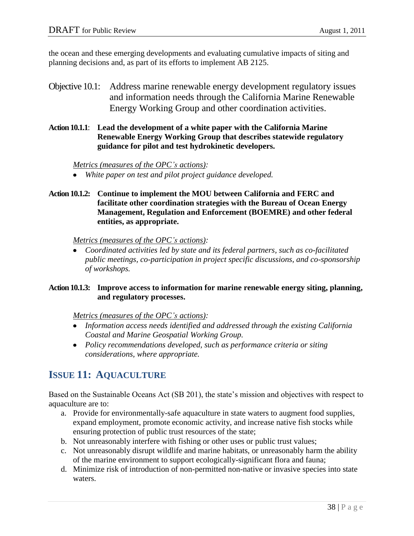the ocean and these emerging developments and evaluating cumulative impacts of siting and planning decisions and, as part of its efforts to implement AB 2125.

- Objective 10.1: Address marine renewable energy development regulatory issues and information needs through the California Marine Renewable Energy Working Group and other coordination activities.
- **Action 10.1.1**: **Lead the development of a white paper with the California Marine Renewable Energy Working Group that describes statewide regulatory guidance for pilot and test hydrokinetic developers.**

*Metrics (measures of the OPC"s actions):*

- *White paper on test and pilot project guidance developed.*
- **Action 10.1.2: Continue to implement the MOU between California and FERC and facilitate other coordination strategies with the Bureau of Ocean Energy Management, Regulation and Enforcement (BOEMRE) and other federal entities, as appropriate.**

*Metrics (measures of the OPC"s actions):*

*Coordinated activities led by state and its federal partners, such as co-facilitated public meetings, co-participation in project specific discussions, and co-sponsorship of workshops.*

#### **Action 10.1.3: Improve access to information for marine renewable energy siting, planning, and regulatory processes.**

*Metrics (measures of the OPC"s actions):*

- *Information access needs identified and addressed through the existing California Coastal and Marine Geospatial Working Group.*
- *Policy recommendations developed, such as performance criteria or siting considerations, where appropriate.*

### **ISSUE 11: AQUACULTURE**

Based on the Sustainable Oceans Act (SB 201), the state's mission and objectives with respect to aquaculture are to:

- a. Provide for environmentally-safe aquaculture in state waters to augment food supplies, expand employment, promote economic activity, and increase native fish stocks while ensuring protection of public trust resources of the state;
- b. Not unreasonably interfere with fishing or other uses or public trust values;
- c. Not unreasonably disrupt wildlife and marine habitats, or unreasonably harm the ability of the marine environment to support ecologically-significant flora and fauna;
- d. Minimize risk of introduction of non-permitted non-native or invasive species into state waters.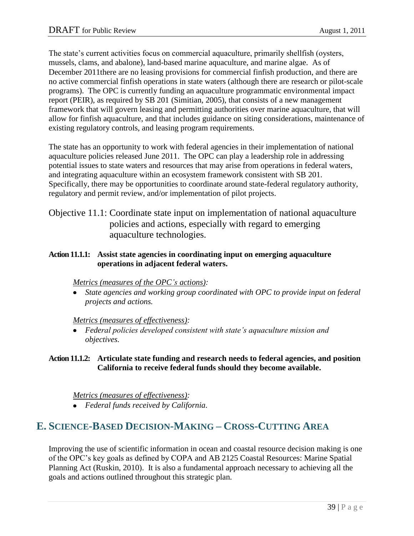The state's current activities focus on commercial aquaculture, primarily shellfish (oysters, mussels, clams, and abalone), land-based marine aquaculture, and marine algae. As of December 2011there are no leasing provisions for commercial finfish production, and there are no active commercial finfish operations in state waters (although there are research or pilot-scale programs). The OPC is currently funding an aquaculture programmatic environmental impact report (PEIR), as required by SB 201 (Simitian, 2005), that consists of a new management framework that will govern leasing and permitting authorities over marine aquaculture, that will allow for finfish aquaculture, and that includes guidance on siting considerations, maintenance of existing regulatory controls, and leasing program requirements.

The state has an opportunity to work with federal agencies in their implementation of national aquaculture policies released June 2011. The OPC can play a leadership role in addressing potential issues to state waters and resources that may arise from operations in federal waters, and integrating aquaculture within an ecosystem framework consistent with SB 201. Specifically, there may be opportunities to coordinate around state-federal regulatory authority, regulatory and permit review, and/or implementation of pilot projects.

#### Objective 11.1: Coordinate state input on implementation of national aquaculture policies and actions, especially with regard to emerging aquaculture technologies.

#### **Action 11.1.1: Assist state agencies in coordinating input on emerging aquaculture operations in adjacent federal waters.**

#### *Metrics (measures of the OPC"s actions):*

*State agencies and working group coordinated with OPC to provide input on federal projects and actions.*

#### *Metrics (measures of effectiveness):*

*Federal policies developed consistent with state"s aquaculture mission and objectives.*

#### **Action 11.1.2: Articulate state funding and research needs to federal agencies, and position California to receive federal funds should they become available.**

#### *Metrics (measures of effectiveness):*

*Federal funds received by California.*

### **E. SCIENCE-BASED DECISION-MAKING – CROSS-CUTTING AREA**

Improving the use of scientific information in ocean and coastal resource decision making is one of the OPC's key goals as defined by COPA and AB 2125 Coastal Resources: Marine Spatial Planning Act (Ruskin, 2010). It is also a fundamental approach necessary to achieving all the goals and actions outlined throughout this strategic plan.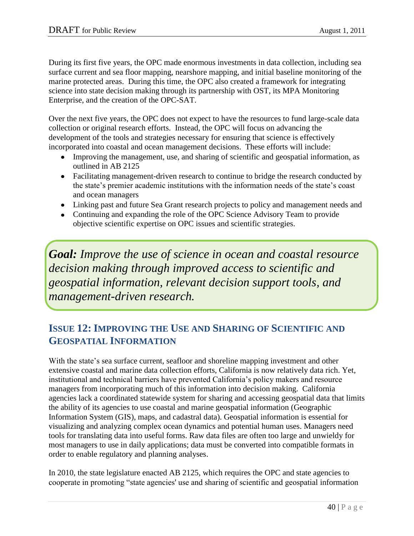During its first five years, the OPC made enormous investments in data collection, including sea surface current and sea floor mapping, nearshore mapping, and initial baseline monitoring of the marine protected areas. During this time, the OPC also created a framework for integrating science into state decision making through its partnership with OST, its MPA Monitoring Enterprise, and the creation of the OPC-SAT.

Over the next five years, the OPC does not expect to have the resources to fund large-scale data collection or original research efforts. Instead, the OPC will focus on advancing the development of the tools and strategies necessary for ensuring that science is effectively incorporated into coastal and ocean management decisions. These efforts will include:

- Improving the management, use, and sharing of scientific and geospatial information, as outlined in AB 2125
- Facilitating management-driven research to continue to bridge the research conducted by the state's premier academic institutions with the information needs of the state's coast and ocean managers
- Linking past and future Sea Grant research projects to policy and management needs and
- Continuing and expanding the role of the OPC Science Advisory Team to provide objective scientific expertise on OPC issues and scientific strategies.

*Goal: Improve the use of science in ocean and coastal resource decision making through improved access to scientific and geospatial information, relevant decision support tools, and management-driven research.*

### **ISSUE 12: IMPROVING THE USE AND SHARING OF SCIENTIFIC AND GEOSPATIAL INFORMATION**

With the state's sea surface current, seafloor and shoreline mapping investment and other extensive coastal and marine data collection efforts, California is now relatively data rich. Yet, institutional and technical barriers have prevented California's policy makers and resource managers from incorporating much of this information into decision making. California agencies lack a coordinated statewide system for sharing and accessing geospatial data that limits the ability of its agencies to use coastal and marine geospatial information (Geographic Information System (GIS), maps, and cadastral data). Geospatial information is essential for visualizing and analyzing complex ocean dynamics and potential human uses. Managers need tools for translating data into useful forms. Raw data files are often too large and unwieldy for most managers to use in daily applications; data must be converted into compatible formats in order to enable regulatory and planning analyses.

In 2010, the state legislature enacted AB 2125, which requires the OPC and state agencies to cooperate in promoting "state agencies' use and sharing of scientific and geospatial information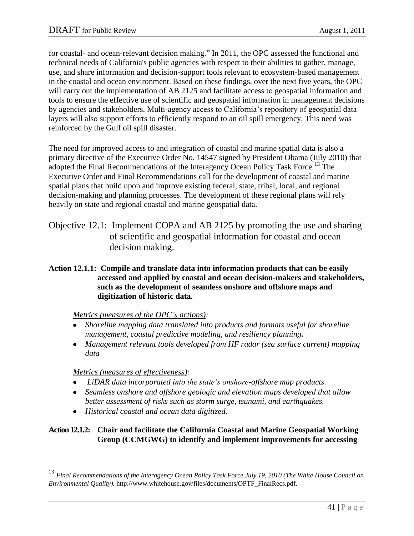for coastal- and ocean-relevant decision making." In 2011, the OPC assessed the functional and technical needs of California's public agencies with respect to their abilities to gather, manage, use, and share information and decision-support tools relevant to ecosystem-based management in the coastal and ocean environment. Based on these findings, over the next five years, the OPC will carry out the implementation of AB 2125 and facilitate access to geospatial information and tools to ensure the effective use of scientific and geospatial information in management decisions by agencies and stakeholders. Multi-agency access to California's repository of geospatial data layers will also support efforts to efficiently respond to an oil spill emergency. This need was reinforced by the Gulf oil spill disaster.

The need for improved access to and integration of coastal and marine spatial data is also a primary directive of the Executive Order No. 14547 signed by President Obama (July 2010) that adopted the Final Recommendations of the Interagency Ocean Policy Task Force.<sup>13</sup> The Executive Order and Final Recommendations call for the development of coastal and marine spatial plans that build upon and improve existing federal, state, tribal, local, and regional decision-making and planning processes. The development of these regional plans will rely heavily on state and regional coastal and marine geospatial data.

Objective 12.1: Implement COPA and AB 2125 by promoting the use and sharing of scientific and geospatial information for coastal and ocean decision making.

#### **Action 12.1.1: Compile and translate data into information products that can be easily accessed and applied by coastal and ocean decision-makers and stakeholders, such as the development of seamless onshore and offshore maps and digitization of historic data.**

*Metrics (measures of the OPC"s actions):*

- *Shoreline mapping data translated into products and formats useful for shoreline management, coastal predictive modeling, and resiliency planning.*
- *Management relevant tools developed from HF radar (sea surface current) mapping data*

*Metrics (measures of effectiveness):*

 $\overline{a}$ 

- *LiDAR data incorporated into the state"s onshore-offshore map products.*
- *Seamless onshore and offshore geologic and elevation maps developed that allow better assessment of risks such as storm surge, tsunami, and earthquakes.*
- *Historical coastal and ocean data digitized.*

#### **Action 12.1.2: Chair and facilitate the California Coastal and Marine Geospatial Working Group (CCMGWG) to identify and implement improvements for accessing**

<sup>13</sup> *Final Recommendations of the Interagency Ocean Policy Task Force July 19, 2010 (The White House Council on Environmental Quality).* http://www.whitehouse.gov/files/documents/OPTF\_FinalRecs.pdf.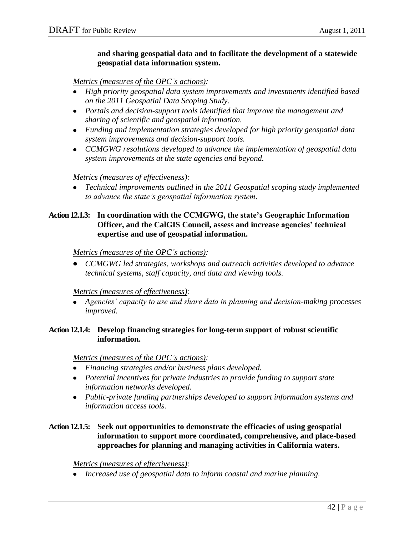#### **and sharing geospatial data and to facilitate the development of a statewide geospatial data information system.**

*Metrics (measures of the OPC"s actions):*

- *High priority geospatial data system improvements and investments identified based on the 2011 Geospatial Data Scoping Study.*
- *Portals and decision-support tools identified that improve the management and sharing of scientific and geospatial information.*
- *Funding and implementation strategies developed for high priority geospatial data system improvements and decision-support tools.*
- *CCMGWG resolutions developed to advance the implementation of geospatial data system improvements at the state agencies and beyond.*

#### *Metrics (measures of effectiveness):*

*Technical improvements outlined in the 2011 Geospatial scoping study implemented to advance the state"s geospatial information system.*

#### **Action 12.1.3: In coordination with the CCMGWG, the state's Geographic Information Officer, and the CalGIS Council, assess and increase agencies' technical expertise and use of geospatial information.**

#### *Metrics (measures of the OPC"s actions):*

*CCMGWG led strategies, workshops and outreach activities developed to advance technical systems, staff capacity, and data and viewing tools.*

*Metrics (measures of effectiveness):*

*Agencies" capacity to use and share data in planning and decision-making processes improved.*

#### **Action 12.1.4: Develop financing strategies for long-term support of robust scientific information.**

*Metrics (measures of the OPC"s actions):*

- *Financing strategies and/or business plans developed.*
- *Potential incentives for private industries to provide funding to support state information networks developed.*
- *Public-private funding partnerships developed to support information systems and information access tools.*

#### **Action 12.1.5: Seek out opportunities to demonstrate the efficacies of using geospatial information to support more coordinated, comprehensive, and place-based approaches for planning and managing activities in California waters.**

#### *Metrics (measures of effectiveness):*

*Increased use of geospatial data to inform coastal and marine planning.*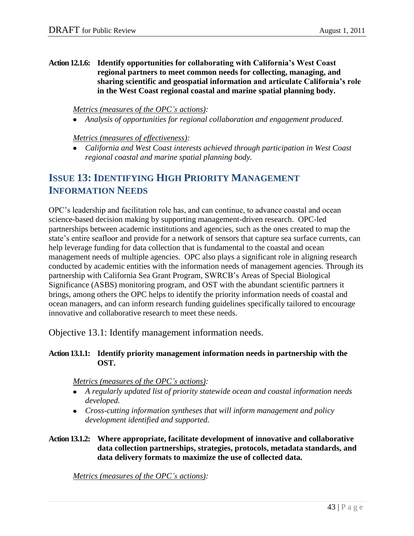**Action 12.1.6: Identify opportunities for collaborating with California's West Coast regional partners to meet common needs for collecting, managing, and sharing scientific and geospatial information and articulate California's role in the West Coast regional coastal and marine spatial planning body.**

#### *Metrics (measures of the OPC"s actions):*

*Analysis of opportunities for regional collaboration and engagement produced.*

#### *Metrics (measures of effectiveness):*

*California and West Coast interests achieved through participation in West Coast regional coastal and marine spatial planning body.* 

### **ISSUE 13: IDENTIFYING HIGH PRIORITY MANAGEMENT INFORMATION NEEDS**

OPC's leadership and facilitation role has, and can continue, to advance coastal and ocean science-based decision making by supporting management-driven research. OPC-led partnerships between academic institutions and agencies, such as the ones created to map the state's entire seafloor and provide for a network of sensors that capture sea surface currents, can help leverage funding for data collection that is fundamental to the coastal and ocean management needs of multiple agencies. OPC also plays a significant role in aligning research conducted by academic entities with the information needs of management agencies. Through its partnership with California Sea Grant Program, SWRCB's Areas of Special Biological Significance (ASBS) monitoring program, and OST with the abundant scientific partners it brings, among others the OPC helps to identify the priority information needs of coastal and ocean managers, and can inform research funding guidelines specifically tailored to encourage innovative and collaborative research to meet these needs.

Objective 13.1: Identify management information needs.

#### **Action 13.1.1: Identify priority management information needs in partnership with the OST.**

#### *Metrics (measures of the OPC"s actions):*

- *A regularly updated list of priority statewide ocean and coastal information needs developed.*
- *Cross-cutting information syntheses that will inform management and policy development identified and supported.*

#### **Action13.1.2: Where appropriate, facilitate development of innovative and collaborative data collection partnerships, strategies, protocols, metadata standards, and data delivery formats to maximize the use of collected data.**

#### *Metrics (measures of the OPC"s actions):*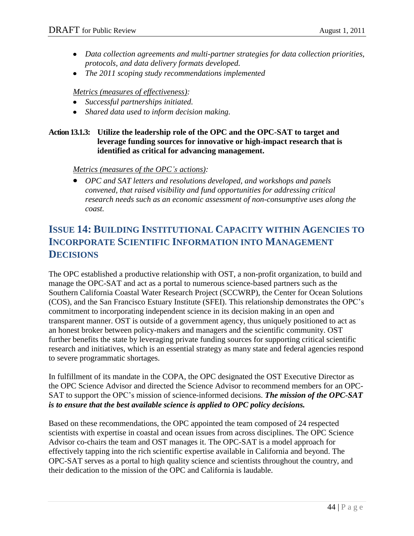- *Data collection agreements and multi-partner strategies for data collection priorities, protocols, and data delivery formats developed.*
- *The 2011 scoping study recommendations implemented*

#### *Metrics (measures of effectiveness):*

- *Successful partnerships initiated.*
- *Shared data used to inform decision making.*

#### **Action 13.1.3: Utilize the leadership role of the OPC and the OPC-SAT to target and leverage funding sources for innovative or high-impact research that is identified as critical for advancing management.**

#### *Metrics (measures of the OPC"s actions):*

*OPC and SAT letters and resolutions developed, and workshops and panels convened, that raised visibility and fund opportunities for addressing critical research needs such as an economic assessment of non-consumptive uses along the coast.*

### **ISSUE 14: BUILDING INSTITUTIONAL CAPACITY WITHIN AGENCIES TO INCORPORATE SCIENTIFIC INFORMATION INTO MANAGEMENT DECISIONS**

The OPC established a productive relationship with OST, a non-profit organization, to build and manage the OPC-SAT and act as a portal to numerous science-based partners such as the Southern California Coastal Water Research Project (SCCWRP), the Center for Ocean Solutions (COS), and the San Francisco Estuary Institute (SFEI). This relationship demonstrates the OPC's commitment to incorporating independent science in its decision making in an open and transparent manner. OST is outside of a government agency, thus uniquely positioned to act as an honest broker between policy-makers and managers and the scientific community. OST further benefits the state by leveraging private funding sources for supporting critical scientific research and initiatives, which is an essential strategy as many state and federal agencies respond to severe programmatic shortages.

In fulfillment of its mandate in the COPA, the OPC designated the OST Executive Director as the OPC Science Advisor and directed the Science Advisor to recommend members for an OPC-SAT to support the OPC's mission of science-informed decisions. *The mission of the OPC-SAT is to ensure that the best available science is applied to OPC policy decisions.*

Based on these recommendations, the OPC appointed the team composed of 24 respected scientists with expertise in coastal and ocean issues from across disciplines. The OPC Science Advisor co-chairs the team and OST manages it. The OPC-SAT is a model approach for effectively tapping into the rich scientific expertise available in California and beyond. The OPC-SAT serves as a portal to high quality science and scientists throughout the country, and their dedication to the mission of the OPC and California is laudable.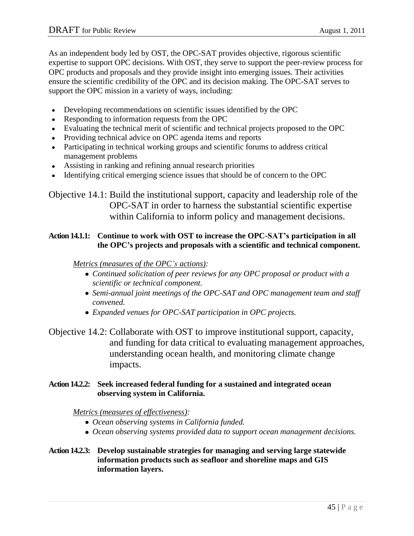As an independent body led by OST, the OPC-SAT provides objective, rigorous scientific expertise to support OPC decisions. With OST, they serve to support the peer-review process for OPC products and proposals and they provide insight into emerging issues. Their activities ensure the scientific credibility of the OPC and its decision making. The OPC-SAT serves to support the OPC mission in a variety of ways, including:

- Developing recommendations on scientific issues identified by the OPC  $\bullet$
- Responding to information requests from the OPC  $\bullet$
- Evaluating the technical merit of scientific and technical projects proposed to the OPC
- Providing technical advice on OPC agenda items and reports
- Participating in technical working groups and scientific forums to address critical management problems
- Assisting in ranking and refining annual research priorities  $\bullet$
- Identifying critical emerging science issues that should be of concern to the OPC  $\bullet$

Objective 14.1: Build the institutional support, capacity and leadership role of the OPC-SAT in order to harness the substantial scientific expertise within California to inform policy and management decisions.

#### **Action 14.1.1: Continue to work with OST to increase the OPC-SAT's participation in all the OPC's projects and proposals with a scientific and technical component.**

#### *Metrics (measures of the OPC"s actions):*

- *Continued solicitation of peer reviews for any OPC proposal or product with a scientific or technical component.*
- *Semi-annual joint meetings of the OPC-SAT and OPC management team and staff convened.*
- *Expanded venues for OPC-SAT participation in OPC projects.*
- Objective 14.2: Collaborate with OST to improve institutional support, capacity, and funding for data critical to evaluating management approaches, understanding ocean health, and monitoring climate change impacts.

#### **Action 14.2.2: Seek increased federal funding for a sustained and integrated ocean observing system in California.**

#### *Metrics (measures of effectiveness):*

- *Ocean observing systems in California funded.*
- *Ocean observing systems provided data to support ocean management decisions.*
- **Action 14.2.3: Develop sustainable strategies for managing and serving large statewide information products such as seafloor and shoreline maps and GIS information layers.**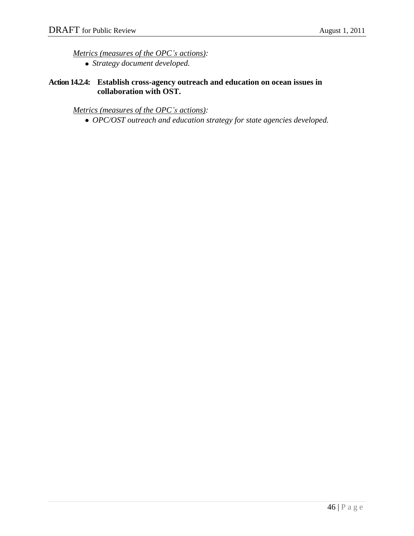*Metrics (measures of the OPC"s actions):*

*Strategy document developed.*

#### **Action 14.2.4: Establish cross-agency outreach and education on ocean issues in collaboration with OST.**

#### *Metrics (measures of the OPC"s actions):*

*OPC/OST outreach and education strategy for state agencies developed.*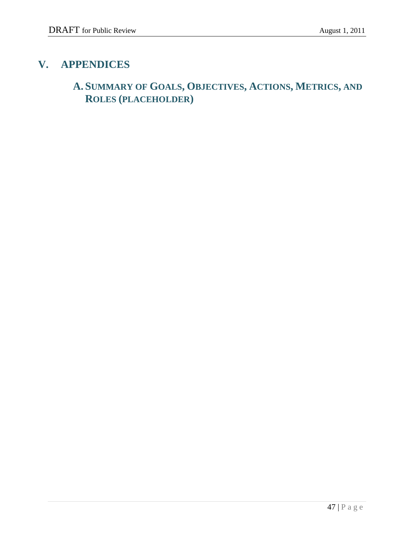## **V. APPENDICES**

### **A. SUMMARY OF GOALS, OBJECTIVES, ACTIONS, METRICS, AND ROLES (PLACEHOLDER)**